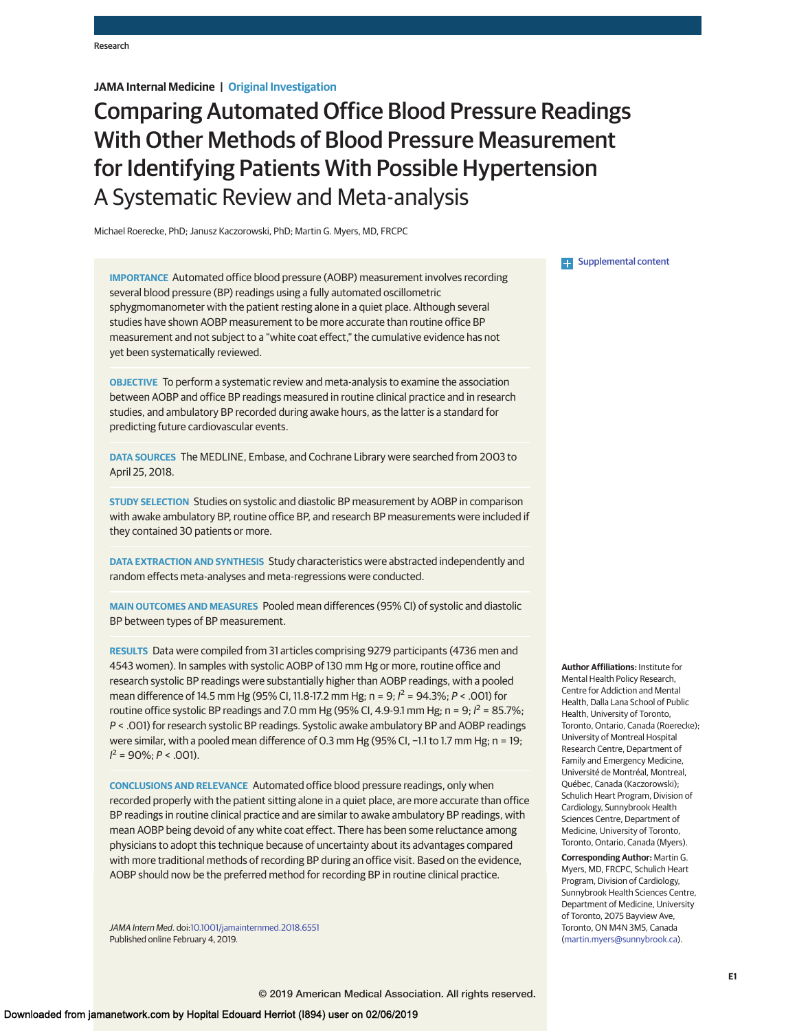## **JAMA Internal Medicine | Original Investigation**

# Comparing Automated Office Blood Pressure Readings With Other Methods of Blood Pressure Measurement for Identifying Patients With Possible Hypertension A Systematic Review and Meta-analysis

Michael Roerecke, PhD; Janusz Kaczorowski, PhD; Martin G. Myers, MD, FRCPC

**IMPORTANCE** Automated office blood pressure (AOBP) measurement involves recording several blood pressure (BP) readings using a fully automated oscillometric sphygmomanometer with the patient resting alone in a quiet place. Although several studies have shown AOBP measurement to be more accurate than routine office BP measurement and not subject to a "white coat effect," the cumulative evidence has not yet been systematically reviewed.

**OBJECTIVE** To perform a systematic review and meta-analysis to examine the association between AOBP and office BP readings measured in routine clinical practice and in research studies, and ambulatory BP recorded during awake hours, as the latter is a standard for predicting future cardiovascular events.

**DATA SOURCES** The MEDLINE, Embase, and Cochrane Library were searched from 2003 to April 25, 2018.

**STUDY SELECTION** Studies on systolic and diastolic BP measurement by AOBP in comparison with awake ambulatory BP, routine office BP, and research BP measurements were included if they contained 30 patients or more.

**DATA EXTRACTION AND SYNTHESIS** Study characteristics were abstracted independently and random effects meta-analyses and meta-regressions were conducted.

**MAIN OUTCOMES AND MEASURES** Pooled mean differences (95% CI) of systolic and diastolic BP between types of BP measurement.

**RESULTS** Data were compiled from 31 articles comprising 9279 participants (4736 men and 4543 women). In samples with systolic AOBP of 130 mm Hg or more, routine office and research systolic BP readings were substantially higher than AOBP readings, with a pooled mean difference of 14.5 mm Hg (95% CI, 11.8-17.2 mm Hg; n = 9;  $l^2$  = 94.3%; P < .001) for routine office systolic BP readings and 7.0 mm Hg (95% CI, 4.9-9.1 mm Hg;  $n = 9$ ;  $l^2 = 85.7$ %; P < .001) for research systolic BP readings. Systolic awake ambulatory BP and AOBP readings were similar, with a pooled mean difference of 0.3 mm Hg (95% CI, -1.1 to 1.7 mm Hg; n = 19;  $I^2 = 90\%; P < .001$ ).

**CONCLUSIONS AND RELEVANCE** Automated office blood pressure readings, only when recorded properly with the patient sitting alone in a quiet place, are more accurate than office BP readings in routine clinical practice and are similar to awake ambulatory BP readings, with mean AOBP being devoid of any white coat effect. There has been some reluctance among physicians to adopt this technique because of uncertainty about its advantages compared with more traditional methods of recording BP during an office visit. Based on the evidence, AOBP should now be the preferred method for recording BP in routine clinical practice.

JAMA Intern Med. doi[:10.1001/jamainternmed.2018.6551](https://jama.jamanetwork.com/article.aspx?doi=10.1001/jamainternmed.2018.6551&utm_campaign=articlePDF%26utm_medium=articlePDFlink%26utm_source=articlePDF%26utm_content=jamainternmed.2018.6551) Published online February 4, 2019.

**Examplemental content** 

**Author Affiliations:** Institute for Mental Health Policy Research, Centre for Addiction and Mental Health, Dalla Lana School of Public Health, University of Toronto, Toronto, Ontario, Canada (Roerecke); University of Montreal Hospital Research Centre, Department of Family and Emergency Medicine, Université de Montréal, Montreal, Québec, Canada (Kaczorowski); Schulich Heart Program, Division of Cardiology, Sunnybrook Health Sciences Centre, Department of Medicine, University of Toronto, Toronto, Ontario, Canada (Myers).

**Corresponding Author:** Martin G. Myers, MD, FRCPC, Schulich Heart Program, Division of Cardiology, Sunnybrook Health Sciences Centre, Department of Medicine, University of Toronto, 2075 Bayview Ave, Toronto, ON M4N 3M5, Canada [\(martin.myers@sunnybrook.ca\)](mailto:martin.myers@sunnybrook.ca).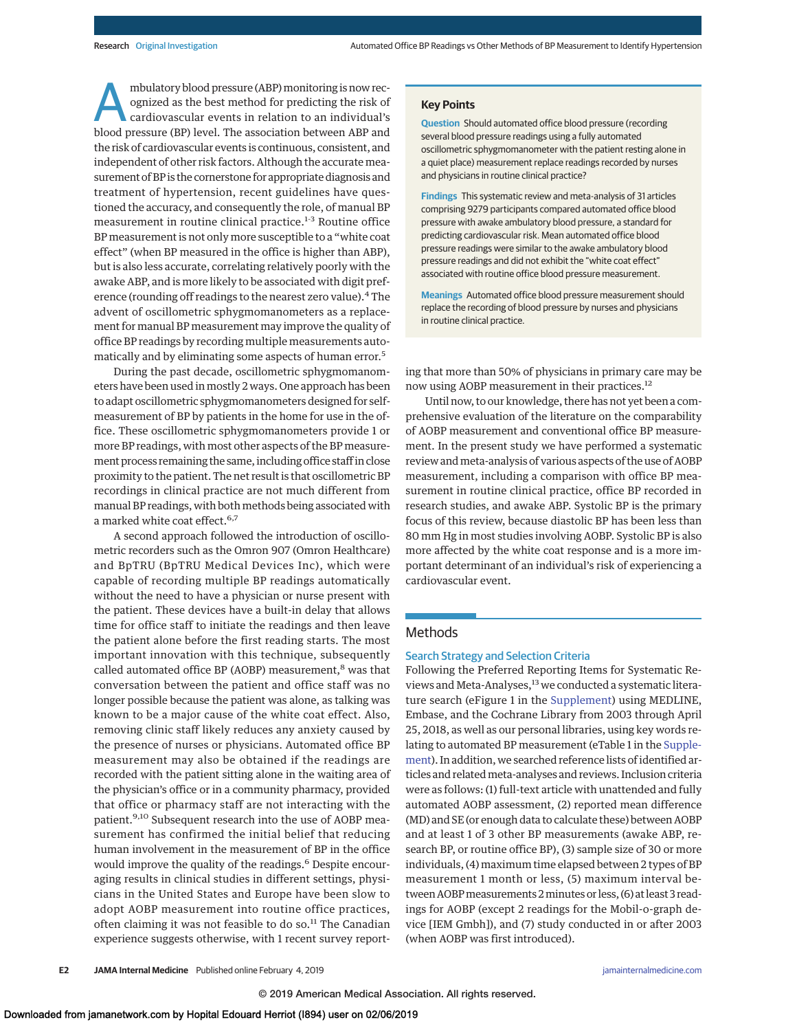mbulatory blood pressure (ABP) monitoring is now recognized as the best method for predicting the risk of cardiovascular events in relation to an individual's blood pressure (BP) level. The association between ABP and the risk of cardiovascular events is continuous, consistent, and independent of other risk factors. Although the accurate measurement of BP is the cornerstone for appropriate diagnosis and treatment of hypertension, recent guidelines have questioned the accuracy, and consequently the role, of manual BP measurement in routine clinical practice.<sup>1-3</sup> Routine office BP measurement is not only more susceptible to a "white coat effect" (when BP measured in the office is higher than ABP), but is also less accurate, correlating relatively poorly with the awake ABP, and is more likely to be associated with digit preference (rounding off readings to the nearest zero value).<sup>4</sup> The advent of oscillometric sphygmomanometers as a replacement for manual BP measurement may improve the quality of office BP readings by recording multiple measurements automatically and by eliminating some aspects of human error.<sup>5</sup>

During the past decade, oscillometric sphygmomanometers have been used in mostly 2 ways. One approach has been to adapt oscillometric sphygmomanometers designed for selfmeasurement of BP by patients in the home for use in the office. These oscillometric sphygmomanometers provide 1 or more BP readings, with most other aspects of the BP measurement process remaining the same, including office staff in close proximity to the patient. The net result is that oscillometric BP recordings in clinical practice are not much different from manual BP readings, with both methods being associated with a marked white coat effect.<sup>6,7</sup>

A second approach followed the introduction of oscillometric recorders such as the Omron 907 (Omron Healthcare) and BpTRU (BpTRU Medical Devices Inc), which were capable of recording multiple BP readings automatically without the need to have a physician or nurse present with the patient. These devices have a built-in delay that allows time for office staff to initiate the readings and then leave the patient alone before the first reading starts. The most important innovation with this technique, subsequently called automated office BP (AOBP) measurement,<sup>8</sup> was that conversation between the patient and office staff was no longer possible because the patient was alone, as talking was known to be a major cause of the white coat effect. Also, removing clinic staff likely reduces any anxiety caused by the presence of nurses or physicians. Automated office BP measurement may also be obtained if the readings are recorded with the patient sitting alone in the waiting area of the physician's office or in a community pharmacy, provided that office or pharmacy staff are not interacting with the patient.<sup>9,10</sup> Subsequent research into the use of AOBP measurement has confirmed the initial belief that reducing human involvement in the measurement of BP in the office would improve the quality of the readings.<sup>6</sup> Despite encouraging results in clinical studies in different settings, physicians in the United States and Europe have been slow to adopt AOBP measurement into routine office practices, often claiming it was not feasible to do so. $11$  The Canadian experience suggests otherwise, with 1 recent survey report-

### **Key Points**

**Question** Should automated office blood pressure (recording several blood pressure readings using a fully automated oscillometric sphygmomanometer with the patient resting alone in a quiet place) measurement replace readings recorded by nurses and physicians in routine clinical practice?

**Findings** This systematic review and meta-analysis of 31 articles comprising 9279 participants compared automated office blood pressure with awake ambulatory blood pressure, a standard for predicting cardiovascular risk. Mean automated office blood pressure readings were similar to the awake ambulatory blood pressure readings and did not exhibit the "white coat effect" associated with routine office blood pressure measurement.

**Meanings** Automated office blood pressure measurement should replace the recording of blood pressure by nurses and physicians in routine clinical practice.

ing that more than 50% of physicians in primary care may be now using AOBP measurement in their practices.12

Until now, to our knowledge, there has not yet been a comprehensive evaluation of the literature on the comparability of AOBP measurement and conventional office BP measurement. In the present study we have performed a systematic review andmeta-analysis of various aspects of the use of AOBP measurement, including a comparison with office BP measurement in routine clinical practice, office BP recorded in research studies, and awake ABP. Systolic BP is the primary focus of this review, because diastolic BP has been less than 80 mm Hg in most studies involving AOBP. Systolic BP is also more affected by the white coat response and is a more important determinant of an individual's risk of experiencing a cardiovascular event.

## **Methods**

#### Search Strategy and Selection Criteria

Following the Preferred Reporting Items for Systematic Reviews and Meta-Analyses,<sup>13</sup> we conducted a systematic literature search (eFigure 1 in the [Supplement\)](https://jama.jamanetwork.com/article.aspx?doi=10.1001/jamainternmed.2018.6551&utm_campaign=articlePDF%26utm_medium=articlePDFlink%26utm_source=articlePDF%26utm_content=jamainternmed.2018.6551) using MEDLINE, Embase, and the Cochrane Library from 2003 through April 25, 2018, as well as our personal libraries, using key words relating to automated BP measurement (eTable 1 in the [Supple](https://jama.jamanetwork.com/article.aspx?doi=10.1001/jamainternmed.2018.6551&utm_campaign=articlePDF%26utm_medium=articlePDFlink%26utm_source=articlePDF%26utm_content=jamainternmed.2018.6551)[ment\)](https://jama.jamanetwork.com/article.aspx?doi=10.1001/jamainternmed.2018.6551&utm_campaign=articlePDF%26utm_medium=articlePDFlink%26utm_source=articlePDF%26utm_content=jamainternmed.2018.6551). In addition, we searched reference lists of identified articles and relatedmeta-analyses and reviews. Inclusion criteria were as follows: (1) full-text article with unattended and fully automated AOBP assessment, (2) reported mean difference (MD) and SE (or enough data to calculate these) between AOBP and at least 1 of 3 other BP measurements (awake ABP, research BP, or routine office BP), (3) sample size of 30 or more individuals, (4) maximum time elapsed between 2 types of BP measurement 1 month or less, (5) maximum interval between AOBP measurements 2 minutes or less, (6) at least 3 readings for AOBP (except 2 readings for the Mobil-o-graph device [IEM Gmbh]), and (7) study conducted in or after 2003 (when AOBP was first introduced).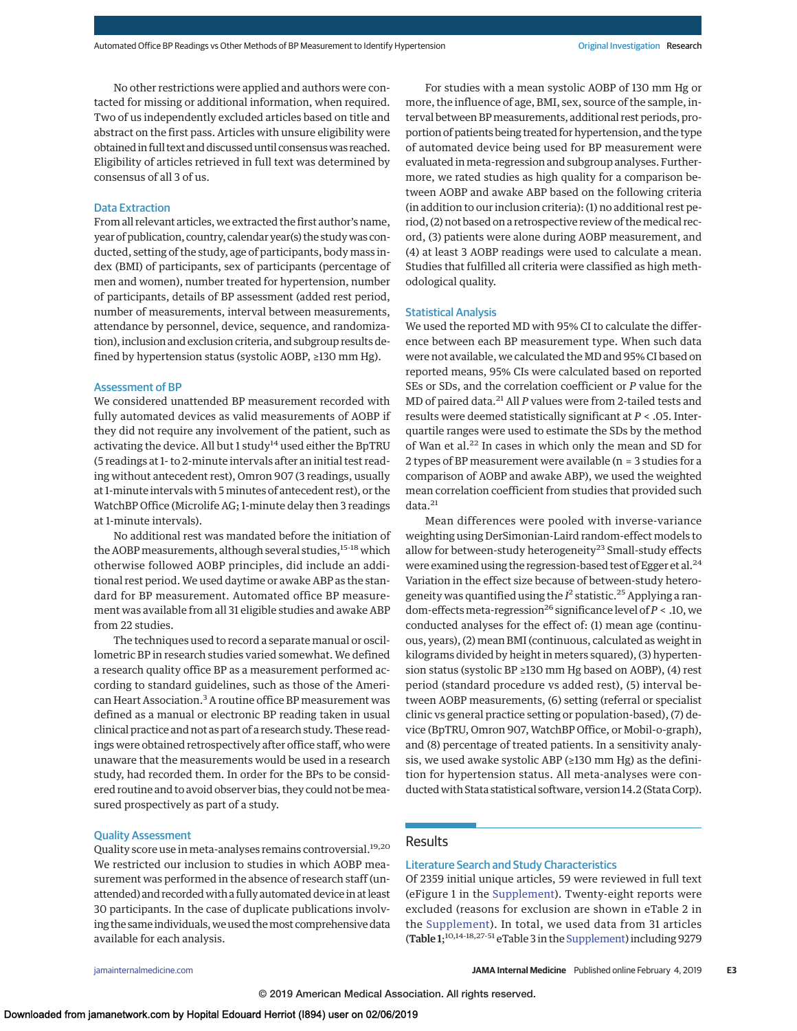No other restrictions were applied and authors were contacted for missing or additional information, when required. Two of us independently excluded articles based on title and abstract on the first pass. Articles with unsure eligibility were obtained in full text and discussed until consensuswas reached. Eligibility of articles retrieved in full text was determined by consensus of all 3 of us.

## Data Extraction

From all relevant articles, we extracted the first author's name, year of publication, country, calendar year(s) the study was conducted, setting of the study, age of participants, body mass index (BMI) of participants, sex of participants (percentage of men and women), number treated for hypertension, number of participants, details of BP assessment (added rest period, number of measurements, interval between measurements, attendance by personnel, device, sequence, and randomization), inclusion and exclusion criteria, and subgroup results defined by hypertension status (systolic AOBP, ≥130 mm Hg).

#### Assessment of BP

We considered unattended BP measurement recorded with fully automated devices as valid measurements of AOBP if they did not require any involvement of the patient, such as activating the device. All but 1 study<sup>14</sup> used either the BpTRU (5 readings at 1- to 2-minute intervals after an initial test reading without antecedent rest), Omron 907 (3 readings, usually at 1-minute intervals with 5 minutes of antecedent rest), or the WatchBP Office (Microlife AG; 1-minute delay then 3 readings at 1-minute intervals).

No additional rest was mandated before the initiation of the AOBP measurements, although several studies,<sup>15-18</sup> which otherwise followed AOBP principles, did include an additional rest period. We used daytime or awake ABP as the standard for BP measurement. Automated office BP measurement was available from all 31 eligible studies and awake ABP from 22 studies.

The techniques used to record a separate manual or oscillometric BP in research studies varied somewhat. We defined a research quality office BP as a measurement performed according to standard guidelines, such as those of the American Heart Association.<sup>3</sup> A routine office BP measurement was defined as a manual or electronic BP reading taken in usual clinical practice and not as part of a research study. These readings were obtained retrospectively after office staff, who were unaware that the measurements would be used in a research study, had recorded them. In order for the BPs to be considered routine and to avoid observer bias, they could not bemeasured prospectively as part of a study.

## Quality Assessment

Quality score use in meta-analyses remains controversial.<sup>19,20</sup> We restricted our inclusion to studies in which AOBP measurement was performed in the absence of research staff (unattended) and recorded with a fully automated device in at least 30 participants. In the case of duplicate publications involving the same individuals, we used the most comprehensive data available for each analysis.

For studies with a mean systolic AOBP of 130 mm Hg or more, the influence of age, BMI, sex, source of the sample, interval between BPmeasurements, additional rest periods, proportion of patients being treated for hypertension, and the type of automated device being used for BP measurement were evaluated inmeta-regression and subgroup analyses. Furthermore, we rated studies as high quality for a comparison between AOBP and awake ABP based on the following criteria (in addition to our inclusion criteria): (1) no additional rest period, (2) not based on a retrospective review of themedical record, (3) patients were alone during AOBP measurement, and (4) at least 3 AOBP readings were used to calculate a mean. Studies that fulfilled all criteria were classified as high methodological quality.

#### Statistical Analysis

We used the reported MD with 95% CI to calculate the difference between each BP measurement type. When such data were not available, we calculated the MD and 95% CI based on reported means, 95% CIs were calculated based on reported SEs or SDs, and the correlation coefficient or *P* value for the MD of paired data.<sup>21</sup> All *P* values were from 2-tailed tests and results were deemed statistically significant at *P* < .05. Interquartile ranges were used to estimate the SDs by the method of Wan et al.<sup>22</sup> In cases in which only the mean and SD for 2 types of BP measurement were available (n = 3 studies for a comparison of AOBP and awake ABP), we used the weighted mean correlation coefficient from studies that provided such data.<sup>21</sup>

Mean differences were pooled with inverse-variance weighting using DerSimonian-Laird random-effect models to allow for between-study heterogeneity<sup>23</sup> Small-study effects were examined using the regression-based test of Egger et al. $^{24}$ Variation in the effect size because of between-study heterogeneity was quantified using the *I*<sup>2</sup> statistic.<sup>25</sup> Applying a random-effects meta-regression<sup>26</sup> significance level of  $P < .10$ , we conducted analyses for the effect of: (1) mean age (continuous, years), (2) mean BMI (continuous, calculated as weight in kilograms divided by height in meters squared), (3) hypertension status (systolic BP ≥130 mm Hg based on AOBP), (4) rest period (standard procedure vs added rest), (5) interval between AOBP measurements, (6) setting (referral or specialist clinic vs general practice setting or population-based), (7) device (BpTRU, Omron 907, WatchBP Office, or Mobil-o-graph), and (8) percentage of treated patients. In a sensitivity analysis, we used awake systolic ABP (≥130 mm Hg) as the definition for hypertension status. All meta-analyses were conducted with Stata statistical software, version 14.2 (Stata Corp).

## Results

## Literature Search and Study Characteristics

Of 2359 initial unique articles, 59 were reviewed in full text (eFigure 1 in the [Supplement\)](https://jama.jamanetwork.com/article.aspx?doi=10.1001/jamainternmed.2018.6551&utm_campaign=articlePDF%26utm_medium=articlePDFlink%26utm_source=articlePDF%26utm_content=jamainternmed.2018.6551). Twenty-eight reports were excluded (reasons for exclusion are shown in eTable 2 in the [Supplement\)](https://jama.jamanetwork.com/article.aspx?doi=10.1001/jamainternmed.2018.6551&utm_campaign=articlePDF%26utm_medium=articlePDFlink%26utm_source=articlePDF%26utm_content=jamainternmed.2018.6551). In total, we used data from 31 articles (Table 1;<sup>10,14-18,27-51</sup> eTable 3 in the [Supplement\)](https://jama.jamanetwork.com/article.aspx?doi=10.1001/jamainternmed.2018.6551&utm_campaign=articlePDF%26utm_medium=articlePDFlink%26utm_source=articlePDF%26utm_content=jamainternmed.2018.6551) including 9279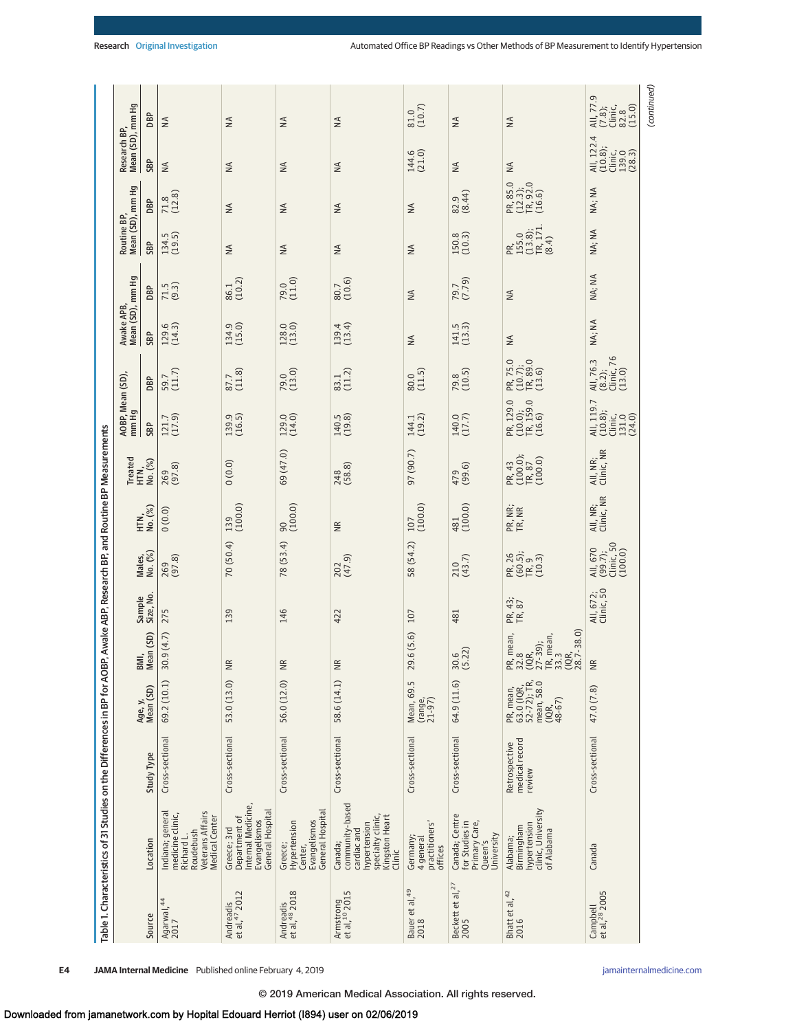| Table 1. Characteristics of 31 Studies on the Differences in BP for AOBP, Awake ABP, Research BP, and Routine BP Measurements<br>Sample<br>Size, No.<br>275<br>139<br>Mean (SD)<br>30.9(4.7)<br>BMI,<br>$\widetilde{E}$<br>69.2 (10.1)<br>53.0 (13.0)<br>Age, y,<br>Mean (SD)<br>Cross-sectional<br>Cross-sectional<br>Study Type<br>Indiana; general<br>Veterans Affairs<br>medicine clinic,<br>Medical Center<br>Greece; 3rd<br>Roudebush<br>Richard L.<br>Location |                                                                                                                                                   |                                           |                                                                        |                                                                                   |                         | 70 (50.4)<br>Males,<br>No. (%)<br>269<br>(97.8) | $139$<br>$(100.0)$<br>HTN,<br>No. (%)<br>0(0.0) | Treated<br>HTN,<br>No. (%)<br>(0.0)0<br>269<br>(97.8) | AOBP, Mean (SD),<br>mm Hg<br>139.9<br>(16.5)<br>$121.7$<br>(17.9)<br>SBP | $59.7$<br>(11.7)<br>$87.7$<br>(11.8)<br>DBP | Mean (SD), mm Hg<br>Awake APB,<br>134.9<br>(15.0)<br>$129.6$<br>$(14.3)$<br>SBP | $86.1$<br>(10.2)<br>$71.5$<br>$(9.3)$<br>DBP | Mean (SD), mm Hg<br>Routine BP,<br>134.5<br>(19.5)<br>SBP<br>$\leq$ | $71.8$<br>(12.8)<br>DBP<br>$\lessgtr$     | Mean (SD), mm Hg<br>Research BP,<br>SBP<br>$\leq$<br>$\leq$ | DBP<br>$\leq$<br>$\leq$                                        |
|-----------------------------------------------------------------------------------------------------------------------------------------------------------------------------------------------------------------------------------------------------------------------------------------------------------------------------------------------------------------------------------------------------------------------------------------------------------------------|---------------------------------------------------------------------------------------------------------------------------------------------------|-------------------------------------------|------------------------------------------------------------------------|-----------------------------------------------------------------------------------|-------------------------|-------------------------------------------------|-------------------------------------------------|-------------------------------------------------------|--------------------------------------------------------------------------|---------------------------------------------|---------------------------------------------------------------------------------|----------------------------------------------|---------------------------------------------------------------------|-------------------------------------------|-------------------------------------------------------------|----------------------------------------------------------------|
| Andreadis<br>et al, <sup>48</sup> 2018<br>Andreadis<br>et al, <sup>47</sup> 2012                                                                                                                                                                                                                                                                                                                                                                                      | Internal Medicine,<br>General Hospital<br>General Hospital<br>Department of<br>Evangelismos<br>Evangelismos<br>Hypertension<br>Greece;<br>Center, | Cross-sectional                           | 56.0 (12.0)                                                            | $\widetilde{\Xi}$                                                                 | 146                     | 78(53.4)                                        | (100.0)                                         | 69 (47.0)                                             | 129.0<br>(14.0)                                                          | $79.0$<br>(13.0)                            | 128.0                                                                           | $79.0$<br>(11.0)                             | $\leq$                                                              | $\lessgtr$                                | $\frac{4}{2}$                                               | $\leq$                                                         |
| Armstrong<br>et al, <sup>10</sup> 2015                                                                                                                                                                                                                                                                                                                                                                                                                                | community-based<br>specialty clinic,<br>Kingston Heart<br>hypertension<br>cardiac and<br>Canada;<br>Clinic                                        | Cross-sectional                           | 58.6 (14.1)                                                            | $\widetilde{\Xi}$                                                                 | 422                     | $\frac{202}{(47.9)}$                            | $\widetilde{\Xi}$                               | 248<br>(58.8)                                         | 140.5<br>(19.8)                                                          | 83.1<br>(11.2)                              | 139.4<br>(13.4)                                                                 | $80.7$<br>(10.6)                             | $\leq$                                                              | $\lessgtr$                                | $\leq$                                                      | $\leq$                                                         |
| Bauer et al, $49$<br>$2018$                                                                                                                                                                                                                                                                                                                                                                                                                                           | practitioners'<br>Germany;<br>4 general<br>offices                                                                                                | Cross-sectional                           | Mean, 69.5<br>(range,<br>21-97)                                        | 29.6 (5.6)                                                                        | 107                     | 58 (54.2)                                       | $\frac{107}{(100.0)}$                           | 97 (90.7)                                             | 144.1<br>(19.2)                                                          | $80.0$<br>(11.5)                            | $\lessgtr$                                                                      | $\lessgtr$                                   | $\leq$                                                              | $\lessgtr$                                | 144.6<br>(21.0)                                             | $\begin{array}{c} 81.0 \\ (10.7) \end{array}$                  |
| Beckett et al, $27$<br>2005                                                                                                                                                                                                                                                                                                                                                                                                                                           | Canada; Centre<br>for Studies in<br>Primary Care,<br>University<br>Queen's                                                                        | Cross-sectional                           | 64.9 (11.6)                                                            | $30.6$<br>$(5.22)$                                                                | 481                     | $\frac{210}{(43.7)}$                            | 481<br>(100.0)                                  | $479$<br>(99.6)                                       | $140.0$<br>(17.7)                                                        | $79.8$<br>(10.5)                            | $141.5$<br>$(13.3)$                                                             | 79.7<br>(7.79)                               | 150.8                                                               | 82.9<br>(8.44)                            | $\stackrel{\triangle}{\geq}$                                | $\leq$                                                         |
| $\frac{\text{Bhatt et al.}^{42}}{2016}$                                                                                                                                                                                                                                                                                                                                                                                                                               | clinic, University<br>of Alabama<br>hypertension<br>Birmingham<br>Alabama;                                                                        | medical record<br>Retrospective<br>review | 63.0 (IQR,<br>52-72); TR,<br>mean, 58.0<br>PR, mean,<br>$(1QR, 48-67)$ | PR, mean,<br>32.8<br>32.9);<br>(IQR, mean,<br>17-38.7<br>33.7-38.0)<br>28.7-38.0) | PR, 43;<br>TR, 87       | PR, 26<br>(60.5);<br>TR, 9<br>(10.3)            | PR, NR;<br>TR, NR                               | PR, 43<br>(100.0);<br>TR, 87<br>(100.0)               | PR, 129.0<br>(10.0);<br>TR, 159.0<br>(16.6)                              | PR, 75.0<br>(10.7);<br>TR, 89.0<br>(13.6)   | $\frac{4}{2}$                                                                   | $\lessgtr$                                   | PR,<br>155.0<br>16.38);<br>171.<br>(8.4)                            | PR, 85.0<br>(12.3);<br>TR, 92.0<br>(16.6) | $\frac{4}{2}$                                               | $\leq$                                                         |
| Campbell<br>et al, <sup>28</sup> 2005                                                                                                                                                                                                                                                                                                                                                                                                                                 | Canada                                                                                                                                            | Cross-sectional                           | 47.0 (7.8)                                                             | $\widetilde{\Xi}$                                                                 | All, 672;<br>Clinic, 50 | All, 670<br>(99.7);<br>Clinic, 50<br>(100.0)    | All, NR;<br>Clinic, NR                          | All, NR;<br>Clinic, NR                                | All, 119.7<br>(10.8);<br>Clinic,<br>131.0<br>(24.0)                      | All, 76.3<br>(8.2);<br>Clinic, 76<br>(13.0) | NA; NA                                                                          | NA; NA                                       | NA; NA                                                              | NA; NA                                    | All, 122.4<br>(10.8);<br>Clinic,<br>139.0<br>(28.3)         | All, 77.9<br>$(7.8)$ ;<br>Clinic,<br>Clinic,<br>23.8<br>(15.0) |
|                                                                                                                                                                                                                                                                                                                                                                                                                                                                       |                                                                                                                                                   |                                           |                                                                        |                                                                                   |                         |                                                 |                                                 |                                                       |                                                                          |                                             |                                                                                 |                                              |                                                                     |                                           |                                                             | (continued)                                                    |

**E4 JAMA Internal Medicine** Published online February 4, 2019 **(Reprinted)** [jamainternalmedicine.com](http://www.jamainternalmedicine.com/?utm_campaign=articlePDF%26utm_medium=articlePDFlink%26utm_source=articlePDF%26utm_content=jamainternmed.2018.6551)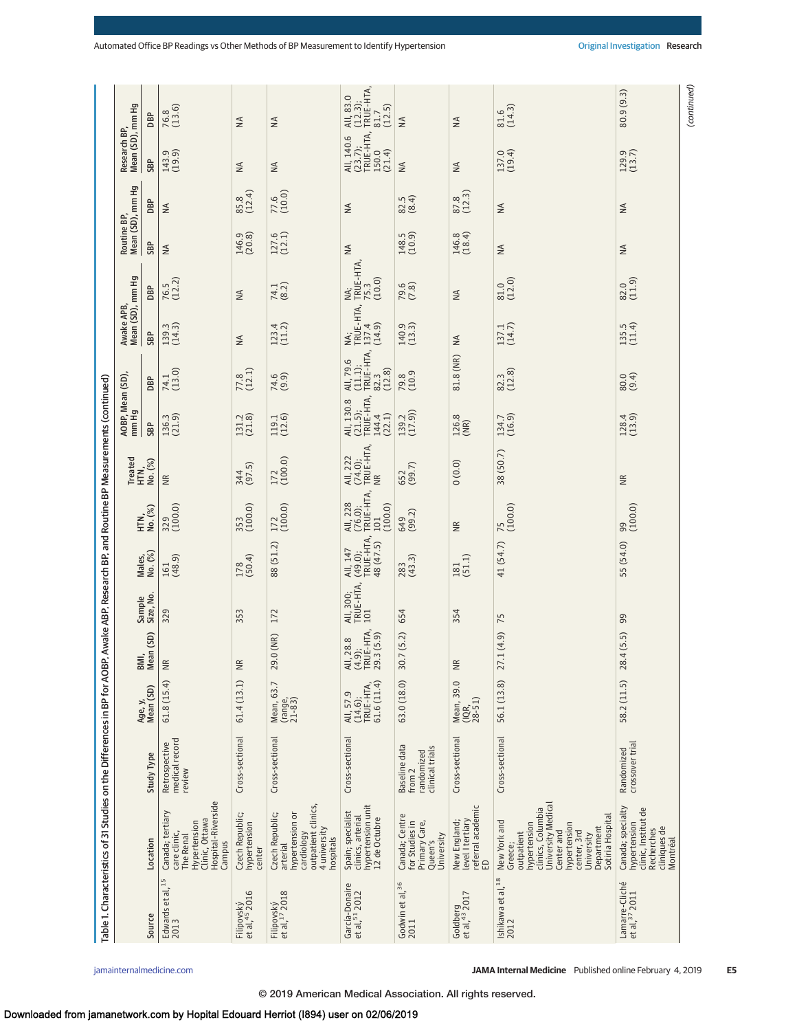|                                             | Table 1. Characteristics of 31 Studies on the Differences in BP for AOBP, Awake ABP, Research BP, and Routine BP Measurements (continued)                                                     |                                                          |                                                    |                                                |                               |                                               |                                                    |                                        |                                                       |                                                     |                                     |                                    |                                 |                   |                                                         |                                                     |
|---------------------------------------------|-----------------------------------------------------------------------------------------------------------------------------------------------------------------------------------------------|----------------------------------------------------------|----------------------------------------------------|------------------------------------------------|-------------------------------|-----------------------------------------------|----------------------------------------------------|----------------------------------------|-------------------------------------------------------|-----------------------------------------------------|-------------------------------------|------------------------------------|---------------------------------|-------------------|---------------------------------------------------------|-----------------------------------------------------|
|                                             |                                                                                                                                                                                               |                                                          |                                                    |                                                |                               |                                               |                                                    |                                        | AOBP, Mean (SD),<br>mm Hg                             |                                                     | Awake APB,<br>Mean (SD), mm Hg      |                                    | Routine BP,<br>Mean (SD), mm Hg |                   | Research BP,<br>Mean (SD), mm Hg                        |                                                     |
| Source                                      | Location                                                                                                                                                                                      | <b>Study Type</b>                                        | Mean (SD)<br>Age, y,                               | Mean (SD)<br>BMI,                              | Sample<br>Size, No.           | Males,<br>No. (%)                             | HTN,<br>No. (%)                                    | Treated<br>HTN,<br>No. (%)             | SBP                                                   | DBP                                                 | SBP                                 | DBP                                | SBP                             | DBP               | SBP                                                     | DBP                                                 |
| Edwards et al, <sup>15</sup><br>2013        | Hospital-Riverside<br>Canada; tertiary<br>Clinic, Ottawa<br>Hypertension<br>care clinic,<br><b>The Renal</b><br>Campus                                                                        | medical record<br>Retrospective<br>review                | 61.8(15.4)                                         | $\widetilde{\Xi}$                              | 329                           | $161$<br>(48.9)                               | $\frac{329}{(100.0)}$                              | $\widetilde{\Xi}$                      | 136.3<br>(21.9)                                       | $74.1$<br>(13.0)                                    | $139.3$<br>$(14.3)$                 | $76.5$<br>(12.2)                   | $\leq$                          | $\lessgtr$        | 143.9<br>(19.9)                                         | $76.8$<br>(13.6)                                    |
| Filipovský<br>et al, <sup>45</sup> 2016     | Czech Republic;<br>hypertension<br>center                                                                                                                                                     | Cross-sectional                                          | 61.4(13.1)                                         | $\widetilde{\Xi}$                              | 353                           | $178$<br>(50.4)                               | 353<br>(100.0)                                     | 344<br>(97.5)                          | 131.2<br>(21.8)                                       | $77.8$<br>(12.1)                                    | $\lessgtr$                          | $\lessgtr$                         | 146.9<br>(20.8)                 | 85.8<br>(12.4)    | $\mathbb N$                                             | $\leq$                                              |
| Filipovský<br>et al, <sup>17</sup> 2018     | outpatient clinics,<br>Czech Republic;<br>hypertension or<br>4 university<br>cardiology<br><b>nospitals</b><br>arterial                                                                       | Cross-sectional                                          | Mean, 63.7<br>(range,<br>21-83)                    | 29.0 (NR)                                      | 172                           | 88 (51.2)                                     | $172$<br>(100.0)                                   | $172$<br>(100.0)                       | 119.1<br>(12.6)                                       | 74.6<br>(9.9)                                       | $123.4$<br>(11.2)                   | 74.1<br>(8.2)                      | $127.6$<br>(12.1)               | $77.6$<br>(10.0)  | $\frac{4}{2}$                                           | $\leq$                                              |
| García-Donaire<br>et al, <sup>51</sup> 2012 | hypertension unit<br>12 de Octubre<br>Spain; specialist<br>clinics, arterial                                                                                                                  | Cross-sectional                                          | 61.6(11.4)<br>TRUE-HTA,<br>All, 57.9<br>$(14.6)$ ; | All, 28.8<br>(4.9);<br>TRUE-HTA,<br>29.3 (5.9) | All, 300;<br>TRUE-HTA,<br>101 | All, 147<br>(49.0);<br>TRUE-HTA,<br>48 (47.5) | All, 228<br>(76.0);<br>TRUE-HTA,<br>101<br>(100.0) | All, 222<br>(74.0);<br>TRUE-HTA,<br>NR | All, 130.8<br>(21.5);<br>TRUE-HTA,<br>144.4<br>(22.1) | All, 79.6<br>(11.1);<br>TRUE-HTA,<br>82.3<br>(12.8) | NA;<br>TRUE-HTA,<br>137.4<br>(14.9) | NA;<br>TRUE-HTA,<br>75.3<br>(10.0) | $\lessgtr$                      | ₹                 | All, 140.6<br>(23.7);<br>TRUE-HTA, 1<br>150.0<br>(21.4) | All, 83.0<br>(12.3);<br>TRUE-HTA,<br>81.7<br>(12.5) |
| Godwin et al, <sup>36</sup><br>2011         | Canada; Centre<br>Primary Care,<br>for Studies in<br>University<br>Queen's                                                                                                                    | Baseline data<br>clinical trials<br>randomized<br>from 2 | 63.0 (18.0)                                        | 30.7 (5.2)                                     | 654                           | $283$<br>(43.3)                               | 649<br>(99.2)                                      | 652<br>(99.7)                          | $139.2$<br>$(17.9)$                                   | 79.8<br>(10.9                                       | 140.9<br>(13.3)                     | $79.6$<br>$(7.8)$                  | 148.5<br>(10.9)                 | $82.5$<br>$(8.4)$ | $\frac{4}{2}$                                           | $\leq$                                              |
| Goldberg<br>et al, <sup>43</sup> 2017       | referral academic<br>ED<br>level I tertiary<br>New England;                                                                                                                                   | Cross-sectional                                          | Mean, 39.0<br>$(1QR, 28-51)$                       | $\widetilde{\Xi}$                              | 354                           | $181$<br>(51.1)                               | $\widetilde{\Xi}$                                  | 0(0.0)                                 | 126.8<br>(NR)                                         | 81.8 (NR)                                           | $\lessgtr$                          | $\lessgtr$                         | $146.8$<br>(18.4)               | $87.8$<br>(12.3)  | $\leq$                                                  | $\leq$                                              |
| Ishikawa et al, <sup>18</sup><br>2012       | University Medical<br>clinics, Columbia<br>Sotiria Hospital<br>New York and<br>hypertension<br>hypertension<br>Department<br>Center and<br>center, 3rd<br>outpatient<br>University<br>Greece: | Cross-sectional                                          | 56.1 (13.8)                                        | 27.1(4.9)                                      | 75                            | 41 (54.7)                                     | $\frac{75}{(100.0)}$                               | 38 (50.7)                              | 134.7<br>(16.9)                                       | $82.3$<br>(12.8)                                    | $137.1$<br>$(14.7)$                 | $81.0$<br>(12.0)                   | $\leq$                          | ₹                 | $137.0$<br>(19.4)                                       | $81.6$<br>(14.3)                                    |
| Lamarre-Cliché<br>et al, <sup>37</sup> 2011 | Canada; specialty<br>clinic, Institut de<br>hypertension<br>cliniques de<br>Montréal<br><b>Recherches</b>                                                                                     | crossover trial<br>Randomized                            | 58.2 (11.5)                                        | 28.4(5.5)                                      | 99                            | 55 (54.0)                                     | (100.0)                                            | $\widetilde{\Xi}$                      | $128.4$<br>(13.9)                                     | 80.4)                                               | $135.5$<br>$(11.4)$                 | $82.0$<br>(11.9)                   | $\leq$                          | $\leq$            | $129.9$<br>$(13.7)$                                     | 80.9(9.3)                                           |
|                                             |                                                                                                                                                                                               |                                                          |                                                    |                                                |                               |                                               |                                                    |                                        |                                                       |                                                     |                                     |                                    |                                 |                   |                                                         | (continued)                                         |

[jamainternalmedicine.com](http://www.jamainternalmedicine.com/?utm_campaign=articlePDF%26utm_medium=articlePDFlink%26utm_source=articlePDF%26utm_content=jamainternmed.2018.6551) **(Reprinted) JAMA Internal Medicine** Published online February 4, 2019 **E5**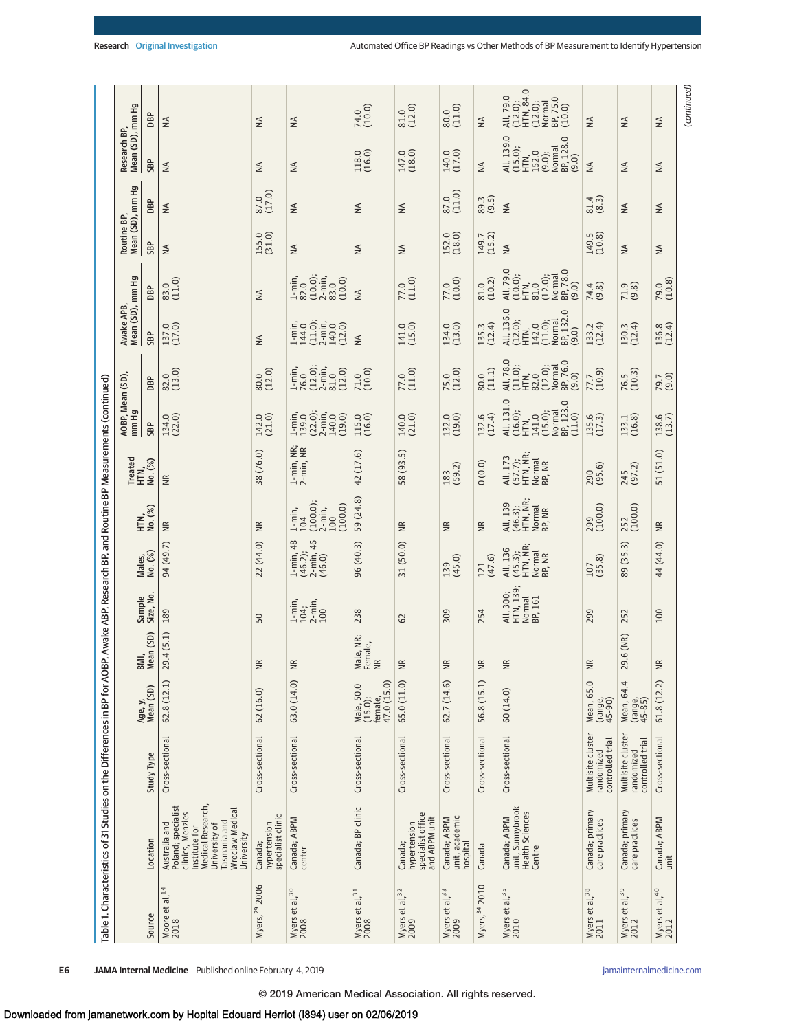|                             | Table 1. Characteristics of 31 Studies on the Differences in BP for AOBP, Awake ABP, Research BP, and Routine BP Measurements (continued)                       |                                                     |                                                 |                            |                                             |                                                        |                                                                 |                                                     |                                                                                    |                                                                                |                                                                              |                                                                                     |                                 |                  |                                                                                  |                                                                            |
|-----------------------------|-----------------------------------------------------------------------------------------------------------------------------------------------------------------|-----------------------------------------------------|-------------------------------------------------|----------------------------|---------------------------------------------|--------------------------------------------------------|-----------------------------------------------------------------|-----------------------------------------------------|------------------------------------------------------------------------------------|--------------------------------------------------------------------------------|------------------------------------------------------------------------------|-------------------------------------------------------------------------------------|---------------------------------|------------------|----------------------------------------------------------------------------------|----------------------------------------------------------------------------|
|                             |                                                                                                                                                                 |                                                     |                                                 |                            |                                             |                                                        |                                                                 | Treated<br>HTN,<br>No. (%)                          | AOBP, Mean (SD),<br>mm Hg                                                          |                                                                                | Mean (SD), mm Hg<br>Awake APB,                                               |                                                                                     | Mean (SD), mm Hg<br>Routine BP, |                  | Mean (SD), mm Hg<br>Research BP                                                  |                                                                            |
| Source                      | Location                                                                                                                                                        | <b>Study Type</b>                                   | Mean (SD)<br>Age, y,                            | BMI,<br>Mean (SD)          | Sample<br>Size, No.                         | Males,<br>No. (%)                                      | HTN,<br>No. (%)                                                 |                                                     | SBP                                                                                | DBP                                                                            | SBP                                                                          | DBP                                                                                 | SBP                             | DBP              | SBP                                                                              | DBP                                                                        |
| Moore et al, $14$<br>$2018$ | Medical Research,<br>Poland; specialist<br>clinics, Menzies<br>Wroclaw Medical<br>Tasmania and<br>Australia and<br>University of<br>Institute for<br>University | Cross-sectional                                     | 62.8(12.1)                                      | 9.4(5.1)<br>$\sim$         | 189                                         | 94 (49.7)                                              | $\widetilde{\Xi}$                                               | $\widetilde{\Xi}$                                   | 134.0                                                                              | $82.0$<br>(13.0)                                                               | 137.0                                                                        | $83.0$<br>(11.0)                                                                    | $\leq$                          | ₹                | $\leq$                                                                           | $\frac{4}{2}$                                                              |
| Myers, 29 2006              | specialist clinic<br>hypertension<br>Canada;                                                                                                                    | Cross-sectional                                     | 62(16.0)                                        | $\overline{\mathbb{R}}$    | 50                                          | 22(44.0)                                               | E                                                               | 38 (76.0)                                           | 142.0<br>(21.0)                                                                    | $80.0$<br>(12.0)                                                               | ₹                                                                            | ≸                                                                                   | 155.0<br>(31.0)                 | 87.0<br>(17.0)   | $\leq$                                                                           | $\lessapprox$                                                              |
| Myers et al, $30$<br>$2008$ | Canada; ABPM<br>center                                                                                                                                          | Cross-sectional                                     | 63.0 (14.0)                                     | <b>NR</b>                  | $1$ -min,<br>$104$ ;<br>$2$ -min,<br>$100$  | 46<br>48<br>(46.2);<br>$2 - min, (46.0)$<br>$1 - min,$ | (100.0);<br>(100.0)<br>$2$ -min,<br>100<br>$1 - min$ ,<br>$104$ | $1$ -min, NR;<br>$2$ -min, NR                       | 1-min,<br>139.0<br>122.0in,<br>2-min,<br>140.0<br>(19.0)                           | 1-min,<br>76.0<br>(12.0);<br>2-min,<br>81.0<br>(12.0)                          | $1 - min$ ,<br>$144.0$<br>$(11.0)$ ;<br>2-min,<br>140.0<br>(12.0)            | $\frac{1 \text{ min}}{82.0}$<br>$(10.0)$ ;<br>$2 \text{ min}$ ,<br>$83.0$<br>(10.0) | $\frac{4}{2}$                   | ₹                | $\leq$                                                                           | $\leq$                                                                     |
| Myers et al, $31$<br>$2008$ | Canada; BP clinic                                                                                                                                               | Cross-sectional                                     | 47.0 (15.0)<br>Male, 50.0<br>(15.0);<br>female, | Male, NR;<br>Female,<br>NR | 238                                         | 96(40.3)                                               | 59 (24.8)                                                       | 42 (17.6)                                           | 115.0<br>(16.0)                                                                    | $71.0$<br>(10.0)                                                               | ≸                                                                            | ≸                                                                                   | $\leq$                          | $\lessgtr$       | 118.0<br>(16.0)                                                                  | $74.0$<br>(10.0)                                                           |
| Myers et al, $32$<br>2009   | hypertension<br>specialist office<br>and ABPM unit<br>Canada;                                                                                                   | Cross-sectional                                     | 65.0 (11.0)                                     | $\simeq$<br>z              | G <sub>2</sub>                              | 31 (50.0)                                              | $\widetilde{B}$                                                 | 58 (93.5)                                           | 140.0<br>(21.0)                                                                    | $77.0$<br>(11.0)                                                               | 141.0<br>(15.0)                                                              | 77.0<br>(11.0)                                                                      | $\frac{4}{2}$                   | $\lessgtr$       | 147.0<br>(18.0)                                                                  | $\begin{array}{c} 81.0 \\ (12.0) \end{array}$                              |
| Myers et al, $33$<br>$2009$ | Canada; ABPM<br>unit, academic<br>hospital                                                                                                                      | Cross-sectional                                     | 62.7(14.6)                                      | $\widetilde{z}$            | 309                                         | $139$<br>(45.0)                                        | W                                                               | $183$<br>(59.2)                                     | 132.0<br>(19.0)                                                                    | 75.0<br>(12.0)                                                                 | 134.0<br>(13.0)                                                              | $77.0$<br>(10.0)                                                                    | 152.0                           | $87.0$<br>(11.0) | 140.0<br>(17.0)                                                                  | $80.0$<br>(11.0)                                                           |
| Myers, 34 2010              | Canada                                                                                                                                                          | Cross-sectional                                     | 56.8 (15.1)                                     | $\simeq$<br>z              | 254                                         | $121$<br>(47.6)                                        | ₩                                                               | (0.0)0                                              | $132.6$<br>$(17.4)$                                                                | $80.0$<br>(11.1)                                                               | $135.3$<br>$(12.4)$                                                          | $\begin{array}{c} 81.0 \\ (10.2) \end{array}$                                       | 149.7<br>(15.2)                 | 89.3<br>(9.5)    | $\frac{4}{2}$                                                                    | $\frac{4}{2}$                                                              |
| Myers et al, $35$<br>2010   | unit, Sunnybrook<br><b>Health Sciences</b><br>Canada; ABPM<br>Centre                                                                                            | Cross-sectional                                     | 60(14.0)                                        | $\simeq$<br>z              | All, 300;<br>HTN, 139;<br>Normal<br>BP, 161 | HTN, NR;<br>All, 136<br>(45.3);<br>Normal<br>BP, NR    | $(46.3);$<br>HTN, NR;<br>Normal<br>BP, NR<br>All, 139           | All, 173<br>(57.7);<br>HTN, NR.<br>Normal<br>BP, NR | All, 131.0<br>Normal<br>BP, 123.0<br>(11.0)<br>(16.0);<br>HTN,<br>141.0<br>(15.0); | All, 78.0<br>(11.0);<br>Normal<br>BP, 76.0<br>(9.0)<br>HTN,<br>82.0<br>(12.0); | All, 136.0<br>(12.0);<br>HTN,<br>142.0<br>14.0);<br>Normal<br>09.0)<br>(9.0) | All, 79.0<br>(10.0);<br>Normal<br>BP, 78.0<br>$81.0$<br>(12.0);<br>HTN,<br>(9.0)    | $\leq$                          | ₹                | All, 139.0<br>(15.0);<br>HTN,<br>152.0<br>(9.0);<br>Normal<br>BP, 128.0<br>(9.0) | All, 79.0<br>(12.0);<br>(12.0);<br>HTM, 84.0<br>(10.0)<br>(10.0)<br>(10.0) |
| Myers et al, $38$<br>$2011$ | Canada; primary<br>care practices                                                                                                                               | Multisite cluster<br>controlled trial<br>randomized | $\cup$<br>Mean, 65<br>(range,<br>45-90)         | $\simeq$<br>z              | 299                                         | $\frac{107}{(35.8)}$                                   | 299<br>(100.0)                                                  | 290<br>(95.6)                                       | $135.6$<br>$(17.3)$                                                                | $77.7$<br>(10.9)                                                               | 133.2                                                                        | 74.4<br>(9.8)                                                                       | 149.5<br>(10.8)                 | (8.3)            | $\frac{4}{2}$                                                                    | ₹                                                                          |
| Myers et al, $39$<br>$2012$ | Canada; primary<br>care practices                                                                                                                               | Multisite cluster<br>controlled trial<br>randomized | 4<br>Mean, 64.<br>(range,<br>45-85)             | 9.6 (NR)<br>$\sim$         | 252                                         | 89 (35.3)                                              | 252<br>(100.0)                                                  | 245<br>(97.2)                                       | 133.1<br>(16.8)                                                                    | $76.5$<br>(10.3)                                                               | $130.3$<br>$(12.4)$                                                          | $71.9$<br>$(9.8)$                                                                   | $\frac{4}{2}$                   | ₹                | $\frac{4}{2}$                                                                    | $\frac{4}{2}$                                                              |
| Myers et al, $40$<br>$2012$ | Canada; ABPM<br>unit                                                                                                                                            | Cross-sectional                                     | 61.8 (12.2)                                     | $\simeq$<br>z              | 100                                         | 44 (44.0)                                              | ΨŘ                                                              | 51 (51.0)                                           | 138.6                                                                              | 79.7<br>(9.0)                                                                  | 136.8<br>(12.4)                                                              | $\frac{79.0}{(10.8)}$                                                               | $\leq$                          | ₹                | $\leq$                                                                           | $\stackrel{\triangle}{\geq}$                                               |
|                             |                                                                                                                                                                 |                                                     |                                                 |                            |                                             |                                                        |                                                                 |                                                     |                                                                                    |                                                                                |                                                                              |                                                                                     |                                 |                  |                                                                                  | (continued)                                                                |

**E6** JAMA Internal Medicine Published online February 4, 2019 **(Reprinting)** [jamainternalmedicine.com](http://www.jamainternalmedicine.com/?utm_campaign=articlePDF%26utm_medium=articlePDFlink%26utm_source=articlePDF%26utm_content=jamainternmed.2018.6551)

© 2019 American Medical Association. All rights reserved.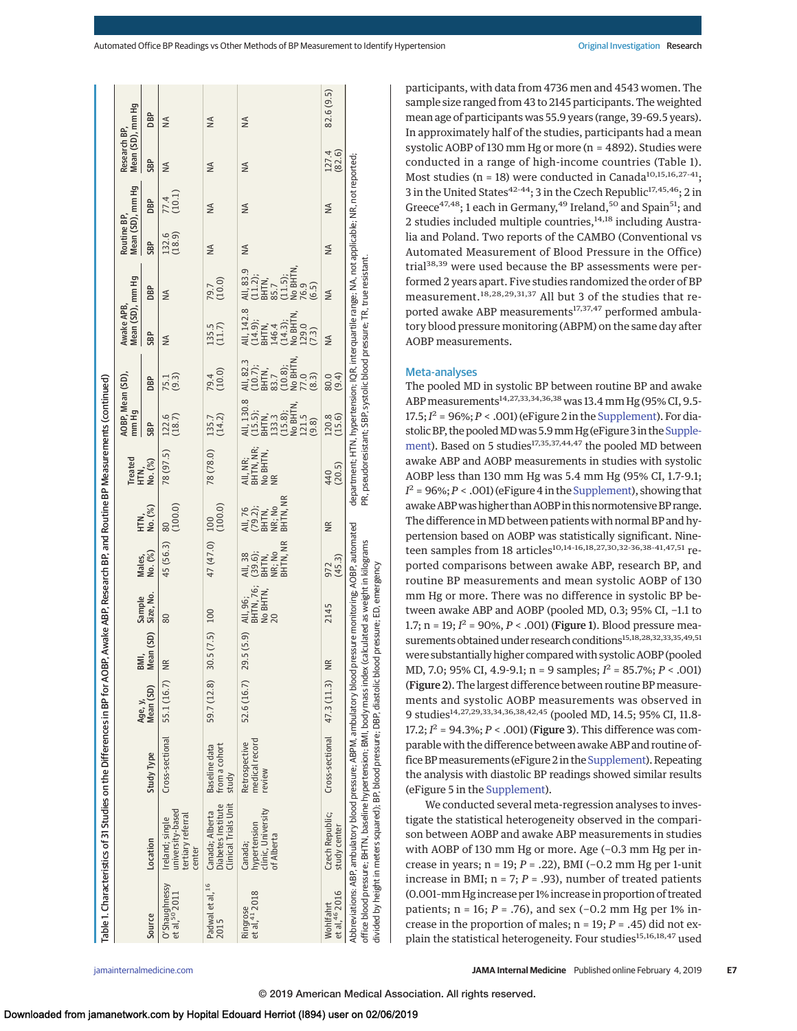|                                       | Table 1. Characteristics of 31 Studies on the Differences in BP for AOBP, Awake ABP, Research BP, and Routine BP Measurements (continued)                                                                                                                                                      |                                           |                      |               |                                         |                                                   |                                                   |                                                                                                                                                                          |                                                                                         |                                                                                  |                                                                                                |                                                                |                                 |                  |                                  |               |
|---------------------------------------|------------------------------------------------------------------------------------------------------------------------------------------------------------------------------------------------------------------------------------------------------------------------------------------------|-------------------------------------------|----------------------|---------------|-----------------------------------------|---------------------------------------------------|---------------------------------------------------|--------------------------------------------------------------------------------------------------------------------------------------------------------------------------|-----------------------------------------------------------------------------------------|----------------------------------------------------------------------------------|------------------------------------------------------------------------------------------------|----------------------------------------------------------------|---------------------------------|------------------|----------------------------------|---------------|
|                                       |                                                                                                                                                                                                                                                                                                |                                           |                      | BMI,          |                                         |                                                   |                                                   | <b>Treated</b>                                                                                                                                                           | AOBP, Mean (SD),<br>mm Hg                                                               |                                                                                  | Mean (SD), mm Hg<br>Awake APB,                                                                 |                                                                | Mean (SD), mm Hg<br>Routine BP, |                  | Mean (SD), mm Hg<br>Research BP, |               |
| Source                                | Location                                                                                                                                                                                                                                                                                       | Study Type                                | Mean (SD)<br>Age, y, | Mean (SD)     | Sample<br>Size, No.                     | Males,<br>No. (%)                                 | HTN,<br>No. (%)                                   | HTN,<br>No. (%)                                                                                                                                                          | <b>SBP</b>                                                                              | DBP                                                                              | <b>SBP</b>                                                                                     | <b>BP</b>                                                      | SBP                             | DBP              | SBP                              | <b>DBP</b>    |
| O'Shaughnessy<br>et al, 50 2011       | university-based<br>tertiary referral<br>Ireland; single<br>center                                                                                                                                                                                                                             | Cross-sectional                           | 55.1 (16.7)          | <b>NR</b>     | 80                                      | 45 (56.3)                                         | (100.0)<br>80                                     | 78 (97.5)                                                                                                                                                                | $122.6$<br>(18.7)                                                                       | 75.1<br>(9.3)                                                                    | $\frac{4}{2}$                                                                                  | ≸                                                              | 132.6<br>(18.9)                 | $77.4$<br>(10.1) | $\leq$                           | $\leq$        |
| Padwal et al, <sup>16</sup><br>2015   | Canada; Alberta<br>Diabetes Institute<br>Clinical Trials Unit                                                                                                                                                                                                                                  | from a cohort<br>Baseline data<br>study   | 59.7 (12.8)          | 30.5(7.5)     | 100                                     | 47 (47.0)                                         | $\frac{100}{(100.0)}$                             | 78 (78.0)                                                                                                                                                                | 135.7<br>(14.2)                                                                         | 79.4<br>(10.0)                                                                   | $135.5$<br>$(11.7)$                                                                            | 79.7<br>(10.0)                                                 | $\frac{4}{2}$                   | $\frac{4}{2}$    | $\frac{4}{2}$                    | $\leq$        |
| Ringrose<br>et al, <sup>41</sup> 2018 | hypertension<br>clinic, University<br>of Alberta<br>Canada;                                                                                                                                                                                                                                    | medical record<br>Retrospective<br>review | 52.6 (16.7)          | 29.5 (5.9)    | All, 96;<br>BHTN, 76;<br>No BHTN,<br>20 | BHTN, NR<br>All, 38<br>(39.6);<br>BHTN,<br>NR; No | BHTN, NR<br>All, 76<br>(79.2);<br>BHTN,<br>NR; No | All, NR;<br>BHTN, NR;<br>No BHTN,<br>NR                                                                                                                                  | All, 130.8<br>(15.5);<br>(15.7);<br>BHTN, (15.8);<br>(15.8);<br>121.5<br>121.5<br>(9.8) | $(10.8)$ ;<br>No BHTN,<br>77.0<br>(8.3)<br>All, 82.3<br>(10.7);<br>BHTN,<br>83.7 | All, 142.8<br>(14.9);<br>BHTN,<br>BHTN,<br>146.3);<br>(14.3);<br>ND BHTN,<br>ND BHTN,<br>(7.3) | All, 83.9<br>C11.2);<br>C11.7, 1.5);<br>BHTN,<br>C5.9<br>C6.5) | $\frac{4}{2}$                   | ₹                | $\frac{4}{2}$                    | $\frac{4}{2}$ |
| et al, 46 2016<br>Wohlfahrt           | Czech Republic;<br>study center                                                                                                                                                                                                                                                                | $Cross-sectional$ $47.3(11.3)$            |                      | $\frac{R}{N}$ | 2145                                    | $972$<br>(45.3)                                   | $\widetilde{\Xi}$                                 | 440<br>(20.5)                                                                                                                                                            | 120.8                                                                                   | (9.4)<br>80.0                                                                    | ≸                                                                                              | ≸                                                              | $\leq$                          | ≸                | 127.4                            | 82.6 (9.5)    |
|                                       | office blood pressure; BHTN, baseline hypertension; BMI, body mass index (calculated as weight in kilograms<br>divided by height in meters squared); BP, blood pressure; DBP, diastolic blood pressure; ED, emergency<br>Abbreviations: ABP, ambulatory blood pressure; ABPM, ambulatory blood |                                           |                      |               |                                         | pressure monitoring; AOBP, automated              |                                                   | department: HTN, hypertension; IQR, interquartile range: NA, not applicable: NR, not reported;<br>PR, pseudoresistant; SBP, systolic blood pressure; TR, true resistant. |                                                                                         |                                                                                  |                                                                                                |                                                                |                                 |                  |                                  |               |

participants, with data from 4736 men and 4543 women. The sample size ranged from 43 to 2145 participants. The weighted mean age of participants was 55.9 years (range, 39-69.5 years). In approximately half of the studies, participants had a mean systolic AOBP of 130 mm Hg or more (n = 4892). Studies were conducted in a range of high-income countries (Table 1). Most studies (n = 18) were conducted in Canada<sup>10,15,16,27-41</sup>; 3 in the United States<sup>42-44</sup>; 3 in the Czech Republic<sup>17,45,46</sup>; 2 in Greece<sup>47,48</sup>; 1 each in Germany,<sup>49</sup> Ireland,<sup>50</sup> and Spain<sup>51</sup>; and 2 studies included multiple countries, $14,18$  including Australia and Poland. Two reports of the CAMBO (Conventional vs Automated Measurement of Blood Pressure in the Office) trial<sup>38,39</sup> were used because the BP assessments were performed 2 years apart. Five studies randomized the order of BP measurement.18,28,29,31,37 All but 3 of the studies that reported awake ABP measurements<sup>17,37,47</sup> performed ambulatory blood pressure monitoring (ABPM) on the same day after AOBP measurements.

## Meta-analyses

The pooled MD in systolic BP between routine BP and awake ABP measurements<sup>14,27,33,34,36,38</sup> was 13.4 mm Hg (95% CI, 9.5- $17.5; I<sup>2</sup> = 96%; P < .001)$  (eFigure 2 in the [Supplement\)](https://jama.jamanetwork.com/article.aspx?doi=10.1001/jamainternmed.2018.6551&utm_campaign=articlePDF%26utm_medium=articlePDFlink%26utm_source=articlePDF%26utm_content=jamainternmed.2018.6551). For diastolic BP, the pooled MD was 5.9 mm Hg (eFigure 3 in the Supple[ment\)](https://jama.jamanetwork.com/article.aspx?doi=10.1001/jamainternmed.2018.6551&utm_campaign=articlePDF%26utm_medium=articlePDFlink%26utm_source=articlePDF%26utm_content=jamainternmed.2018.6551). Based on 5 studies<sup>17,35,37,44,47</sup> the pooled MD between awake ABP and AOBP measurements in studies with systolic AOBP less than 130 mm Hg was 5.4 mm Hg (95% CI, 1.7-9.1;  $I^2$  = 96%;  $P <$  .001) (eFigure 4 in the [Supplement\)](https://jama.jamanetwork.com/article.aspx?doi=10.1001/jamainternmed.2018.6551&utm_campaign=articlePDF%26utm_medium=articlePDFlink%26utm_source=articlePDF%26utm_content=jamainternmed.2018.6551), showing that awake ABP was higher than AOBP in this normotensive BP range. The difference in MD between patients with normal BP and hypertension based on AOBP was statistically significant. Nineteen samples from 18 articles<sup>10,14-16,18,27,30,32-36,38-41,47,51</sup> reported comparisons between awake ABP, research BP, and routine BP measurements and mean systolic AOBP of 130 mm Hg or more. There was no difference in systolic BP between awake ABP and AOBP (pooled MD, 0.3; 95% CI, −1.1 to 1.7;  $n = 19$ ;  $I^2 = 90\%, P < .001$ ) (Figure 1). Blood pressure measurements obtained under research conditions<sup>15,18,28,32,33,35,49,51</sup> were substantially higher comparedwith systolic AOBP (pooled MD, 7.0; 95% CI, 4.9-9.1; n = 9 samples; *I* <sup>2</sup> = 85.7%; *P* < .001) (Figure 2). The largest difference between routine BP measurements and systolic AOBP measurements was observed in 9 studies<sup>14,27,29,33,34,36,38,42,45</sup> (pooled MD, 14.5; 95% CI, 11.8-17.2;  $I^2 = 94.3\%; P < .001)$  (Figure 3). This difference was comparable with the difference between awake ABP and routine office BPmeasurements (eFigure 2 in the [Supplement\)](https://jama.jamanetwork.com/article.aspx?doi=10.1001/jamainternmed.2018.6551&utm_campaign=articlePDF%26utm_medium=articlePDFlink%26utm_source=articlePDF%26utm_content=jamainternmed.2018.6551). Repeating the analysis with diastolic BP readings showed similar results (eFigure 5 in the [Supplement\)](https://jama.jamanetwork.com/article.aspx?doi=10.1001/jamainternmed.2018.6551&utm_campaign=articlePDF%26utm_medium=articlePDFlink%26utm_source=articlePDF%26utm_content=jamainternmed.2018.6551).

We conducted several meta-regression analyses to investigate the statistical heterogeneity observed in the comparison between AOBP and awake ABP measurements in studies with AOBP of 130 mm Hg or more. Age (−0.3 mm Hg per increase in years; n = 19; *P* = .22), BMI (−0.2 mm Hg per 1-unit increase in BMI;  $n = 7$ ;  $P = .93$ ), number of treated patients (0.001–mm Hg increase per 1% increase in proportion of treated patients; n = 16; *P* = .76), and sex (−0.2 mm Hg per 1% increase in the proportion of males; n = 19; *P* = .45) did not explain the statistical heterogeneity. Four studies<sup>15,16,18,47</sup> used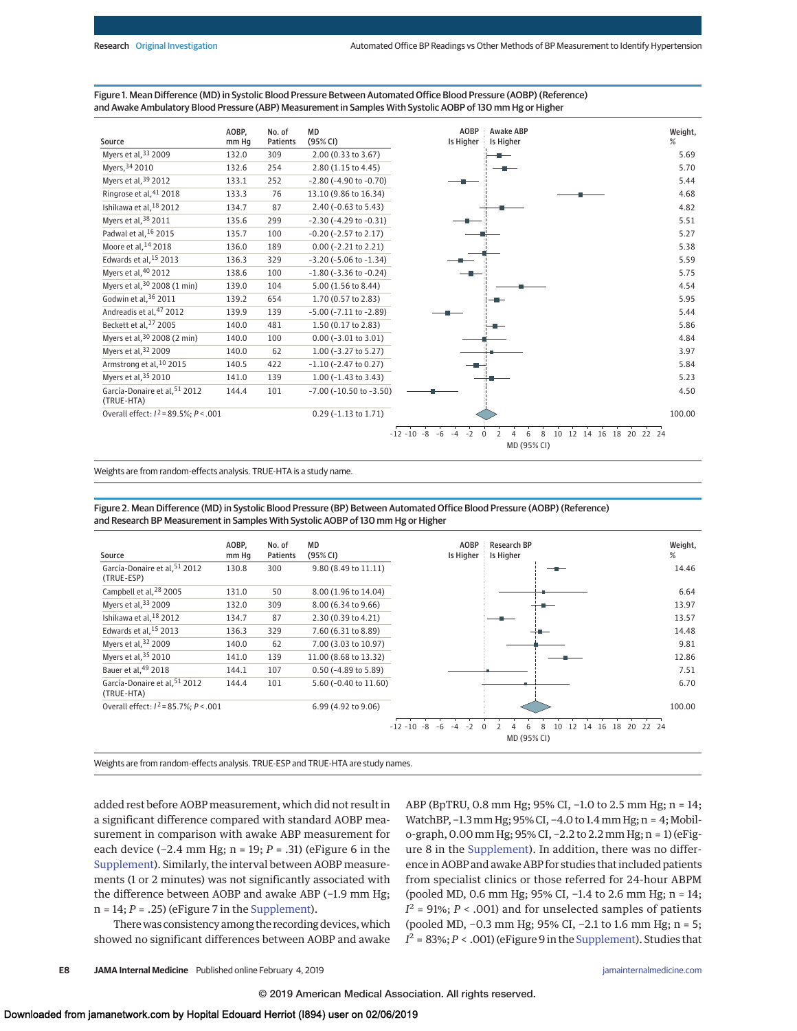Figure 1. Mean Difference (MD) in Systolic Blood Pressure Between Automated Office Blood Pressure (AOBP) (Reference) and Awake Ambulatory Blood Pressure (ABP) Measurement in Samples With Systolic AOBP of 130 mm Hg or Higher



Weights are from random-effects analysis. TRUE-HTA is a study name.

Figure 2. Mean Difference (MD) in Systolic Blood Pressure (BP) Between Automated Office Blood Pressure (AOBP) (Reference) and Research BP Measurement in Samples With Systolic AOBP of 130 mm Hg or Higher



Weights are from random-effects analysis. TRUE-ESP and TRUE-HTA are study names.

added rest before AOBP measurement, which did not result in a significant difference compared with standard AOBP measurement in comparison with awake ABP measurement for each device (−2.4 mm Hg; n = 19; *P* = .31) (eFigure 6 in the [Supplement\)](https://jama.jamanetwork.com/article.aspx?doi=10.1001/jamainternmed.2018.6551&utm_campaign=articlePDF%26utm_medium=articlePDFlink%26utm_source=articlePDF%26utm_content=jamainternmed.2018.6551). Similarly, the interval between AOBP measurements (1 or 2 minutes) was not significantly associated with the difference between AOBP and awake ABP (−1.9 mm Hg; n = 14; *P* = .25) (eFigure 7 in the [Supplement\)](https://jama.jamanetwork.com/article.aspx?doi=10.1001/jamainternmed.2018.6551&utm_campaign=articlePDF%26utm_medium=articlePDFlink%26utm_source=articlePDF%26utm_content=jamainternmed.2018.6551).

There was consistency among the recording devices, which showed no significant differences between AOBP and awake ABP (BpTRU, 0.8 mm Hg; 95% CI, −1.0 to 2.5 mm Hg; n = 14; WatchBP, -1.3 mm Hg; 95% CI, -4.0 to 1.4 mm Hg; n = 4; Mobilo-graph, 0.00 mm Hg; 95% CI, −2.2 to 2.2 mm Hg; n = 1) (eFigure 8 in the [Supplement\)](https://jama.jamanetwork.com/article.aspx?doi=10.1001/jamainternmed.2018.6551&utm_campaign=articlePDF%26utm_medium=articlePDFlink%26utm_source=articlePDF%26utm_content=jamainternmed.2018.6551). In addition, there was no difference in AOBP and awake ABP for studies that included patients from specialist clinics or those referred for 24-hour ABPM (pooled MD, 0.6 mm Hg; 95% CI, −1.4 to 2.6 mm Hg; n = 14;  $I^2$  = 91%; *P* < .001) and for unselected samples of patients (pooled MD, −0.3 mm Hg; 95% CI, −2.1 to 1.6 mm Hg; n = 5;  $I^2 = 83\%; P < .001$ ) (eFigure 9 in the [Supplement\)](https://jama.jamanetwork.com/article.aspx?doi=10.1001/jamainternmed.2018.6551&utm_campaign=articlePDF%26utm_medium=articlePDFlink%26utm_source=articlePDF%26utm_content=jamainternmed.2018.6551). Studies that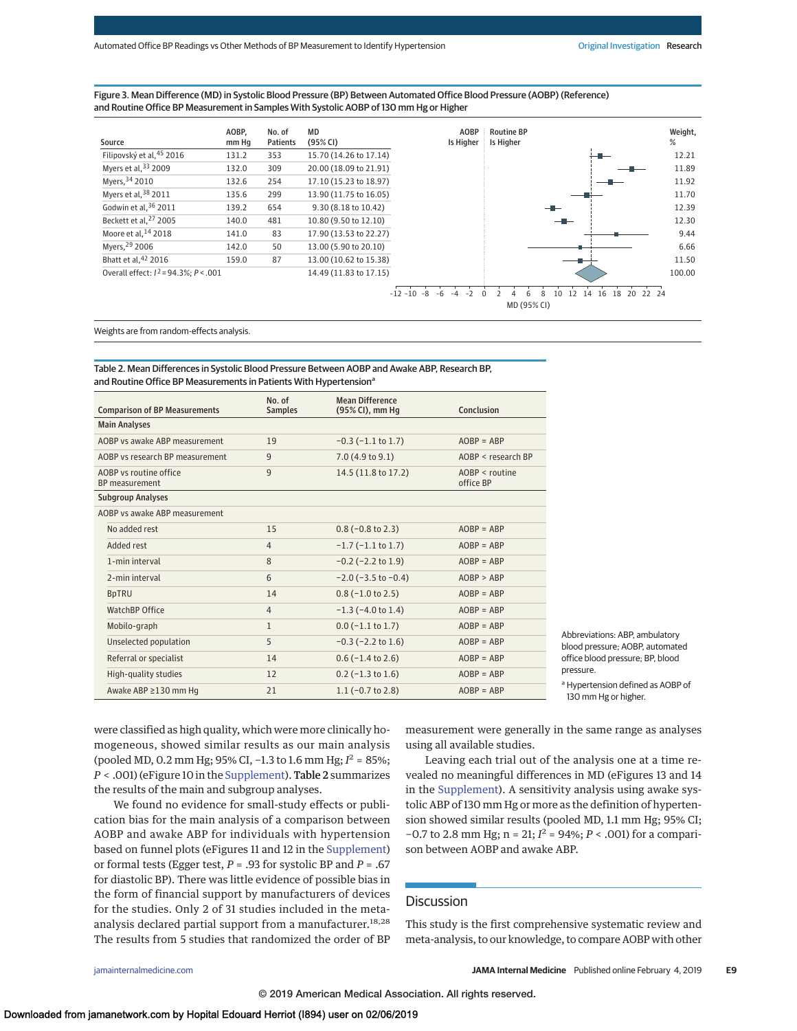#### Figure 3. Mean Difference (MD) in Systolic Blood Pressure (BP) Between Automated Office Blood Pressure (AOBP) (Reference) and Routine Office BP Measurement in Samples With Systolic AOBP of 130 mm Hg or Higher

| Source                                      | AOBP.<br>mm Hq | No. of<br><b>Patients</b> | MD<br>(95% CI)         | <b>AOBP</b><br>Is Higher | <b>Routine</b><br>Is Higher |
|---------------------------------------------|----------------|---------------------------|------------------------|--------------------------|-----------------------------|
| Filipovský et al, 45 2016                   | 131.2          | 353                       | 15.70 (14.26 to 17.14) |                          |                             |
| Myers et al, 33 2009                        | 132.0          | 309                       | 20.00 (18.09 to 21.91) |                          |                             |
| Myers, 34 2010                              | 132.6          | 254                       | 17.10 (15.23 to 18.97) |                          |                             |
| Myers et al, $38$ 2011                      | 135.6          | 299                       | 13.90 (11.75 to 16.05) |                          |                             |
| Godwin et al, 36 2011                       | 139.2          | 654                       | 9.30 (8.18 to 10.42)   |                          |                             |
| Beckett et al. <sup>27</sup> 2005           | 140.0          | 481                       | 10.80 (9.50 to 12.10)  |                          |                             |
| Moore et al, <sup>14</sup> 2018             | 141.0          | 83                        | 17.90 (13.53 to 22.27) |                          |                             |
| Myers, 29 2006                              | 142.0          | 50                        | 13.00 (5.90 to 20.10)  |                          |                             |
| Bhatt et al, 42 2016                        | 159.0          | 87                        | 13.00 (10.62 to 15.38) |                          |                             |
| Overall effect: $I^2 = 94.3\%$ : $P < .001$ |                |                           | 14.49 (11.83 to 17.15) |                          |                             |



Weights are from random-effects analysis.

Table 2. Mean Differences in Systolic Blood Pressure Between AOBP and Awake ABP, Research BP, and Routine Office BP Measurements in Patients With Hypertension<sup>a</sup>

| <b>Comparison of BP Measurements</b>            | No. of<br><b>Samples</b> | <b>Mean Difference</b><br>(95% CI), mm Hq | Conclusion                    |
|-------------------------------------------------|--------------------------|-------------------------------------------|-------------------------------|
| <b>Main Analyses</b>                            |                          |                                           |                               |
|                                                 |                          |                                           |                               |
| AOBP vs awake ABP measurement                   | 19                       | $-0.3$ ( $-1.1$ to 1.7)                   | $AOBP = ABP$                  |
| AOBP vs research BP measurement                 | 9                        | 7.0(4.9 to 9.1)                           | $AOBP <$ research $BP$        |
| AOBP vs routine office<br><b>BP</b> measurement | 9                        | 14.5 (11.8 to 17.2)                       | $AOBP <$ routine<br>office BP |
| <b>Subgroup Analyses</b>                        |                          |                                           |                               |
| AOBP vs awake ABP measurement                   |                          |                                           |                               |
| No added rest                                   | 15                       | $0.8$ (-0.8 to 2.3)                       | $AOBP = ABP$                  |
| Added rest                                      | $\overline{4}$           | $-1.7$ ( $-1.1$ to 1.7)                   | $AOBP = ABP$                  |
| 1-min interval                                  | 8                        | $-0.2$ ( $-2.2$ to 1.9)                   | $AOBP = ABP$                  |
| 2-min interval                                  | 6                        | $-2.0$ ( $-3.5$ to $-0.4$ )               | AOBP > ABP                    |
| <b>BpTRU</b>                                    | 14                       | $0.8$ ( $-1.0$ to 2.5)                    | $AOBP = ABP$                  |
| WatchBP Office                                  | $\overline{4}$           | $-1.3$ ( $-4.0$ to 1.4)                   | $AOBP = ABP$                  |
| Mobilo-graph                                    | $\mathbf{1}$             | $0.0$ (-1.1 to 1.7)                       | $AOBP = ABP$                  |
| Unselected population                           | 5                        | $-0.3$ ( $-2.2$ to 1.6)                   | $AOBP = ABP$                  |
| Referral or specialist                          | 14                       | $0.6$ ( $-1.4$ to 2.6)                    | $AOBP = ABP$                  |
| High-quality studies                            | 12                       | $0.2$ (-1.3 to 1.6)                       | $AOBP = ABP$                  |
| Awake ABP ≥130 mm Hq                            | 21                       | $1.1$ (-0.7 to 2.8)                       | $AOBP = ABP$                  |

Abbreviations: ABP, ambulatory blood pressure; AOBP, automated office blood pressure; BP, blood pressure. <sup>a</sup> Hypertension defined as AOBP of

130 mm Hg or higher.

were classified as high quality, which were more clinically homogeneous, showed similar results as our main analysis (pooled MD, 0.2 mm Hg; 95% CI, −1.3 to 1.6 mm Hg; *I* <sup>2</sup> = 85%; *P* < .001) (eFigure 10 in the [Supplement\)](https://jama.jamanetwork.com/article.aspx?doi=10.1001/jamainternmed.2018.6551&utm_campaign=articlePDF%26utm_medium=articlePDFlink%26utm_source=articlePDF%26utm_content=jamainternmed.2018.6551). Table 2 summarizes the results of the main and subgroup analyses.

We found no evidence for small-study effects or publication bias for the main analysis of a comparison between AOBP and awake ABP for individuals with hypertension based on funnel plots (eFigures 11 and 12 in the [Supplement\)](https://jama.jamanetwork.com/article.aspx?doi=10.1001/jamainternmed.2018.6551&utm_campaign=articlePDF%26utm_medium=articlePDFlink%26utm_source=articlePDF%26utm_content=jamainternmed.2018.6551) or formal tests (Egger test, *P* = .93 for systolic BP and *P* = .67 for diastolic BP). There was little evidence of possible bias in the form of financial support by manufacturers of devices for the studies. Only 2 of 31 studies included in the metaanalysis declared partial support from a manufacturer.<sup>18,28</sup> The results from 5 studies that randomized the order of BP measurement were generally in the same range as analyses using all available studies.

Leaving each trial out of the analysis one at a time revealed no meaningful differences in MD (eFigures 13 and 14 in the [Supplement\)](https://jama.jamanetwork.com/article.aspx?doi=10.1001/jamainternmed.2018.6551&utm_campaign=articlePDF%26utm_medium=articlePDFlink%26utm_source=articlePDF%26utm_content=jamainternmed.2018.6551). A sensitivity analysis using awake systolic ABP of 130 mm Hg or more as the definition of hypertension showed similar results (pooled MD, 1.1 mm Hg; 95% CI; −0.7 to 2.8 mm Hg; n = 21; *I* <sup>2</sup> = 94%; *P* < .001) for a comparison between AOBP and awake ABP.

## Discussion

This study is the first comprehensive systematic review and meta-analysis, to our knowledge, to compare AOBP with other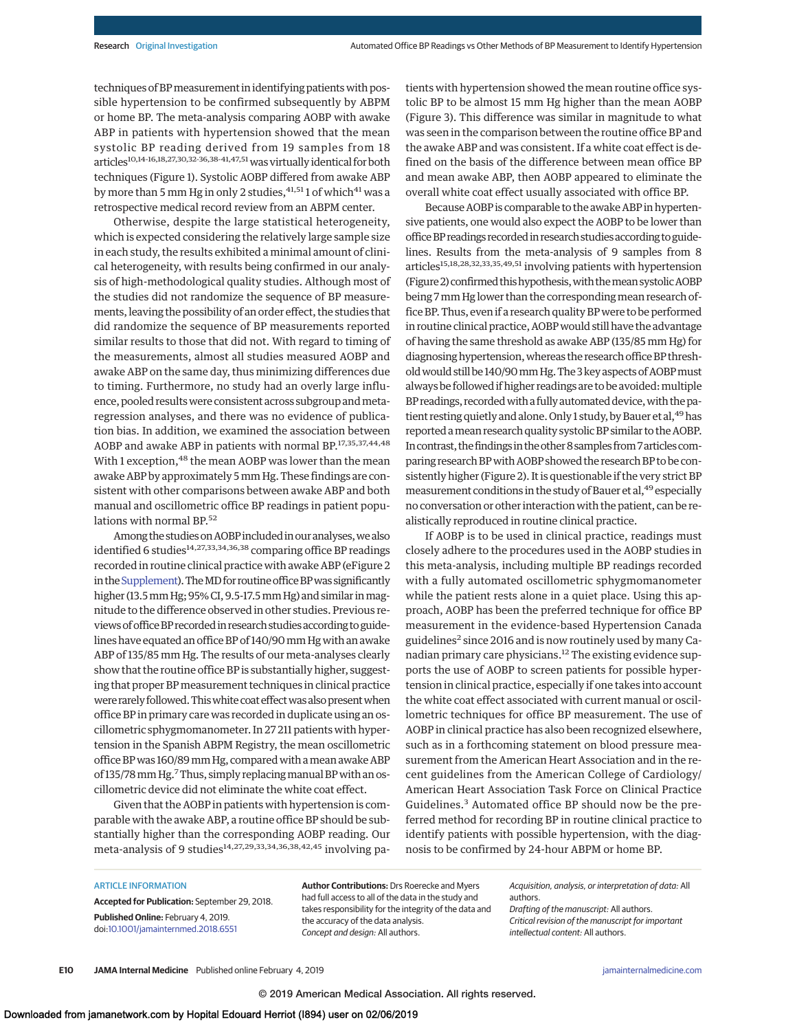techniques of BP measurement in identifying patients with possible hypertension to be confirmed subsequently by ABPM or home BP. The meta-analysis comparing AOBP with awake ABP in patients with hypertension showed that the mean systolic BP reading derived from 19 samples from 18 articles<sup>10,14-16,18,27,30,32-36,38-41,47,51</sup> was virtually identical for both techniques (Figure 1). Systolic AOBP differed from awake ABP by more than 5 mm Hg in only 2 studies,  $41,51$  1 of which  $41$  was a retrospective medical record review from an ABPM center.

Otherwise, despite the large statistical heterogeneity, which is expected considering the relatively large sample size in each study, the results exhibited a minimal amount of clinical heterogeneity, with results being confirmed in our analysis of high-methodological quality studies. Although most of the studies did not randomize the sequence of BP measurements, leaving the possibility of an order effect, the studies that did randomize the sequence of BP measurements reported similar results to those that did not. With regard to timing of the measurements, almost all studies measured AOBP and awake ABP on the same day, thus minimizing differences due to timing. Furthermore, no study had an overly large influence, pooled results were consistent across subgroup and metaregression analyses, and there was no evidence of publication bias. In addition, we examined the association between AOBP and awake ABP in patients with normal BP.17,35,37,44,48 With 1 exception, <sup>48</sup> the mean AOBP was lower than the mean awake ABP by approximately 5mm Hg. These findings are consistent with other comparisons between awake ABP and both manual and oscillometric office BP readings in patient populations with normal BP.<sup>52</sup>

Among the studies on AOBP included in our analyses, we also identified 6 studies<sup>14,27,33,34,36,38</sup> comparing office BP readings recorded in routine clinical practice with awake ABP (eFigure 2 in the Supplement). The MD for routine office BP was significantly higher (13.5mm Hg; 95% CI, 9.5-17.5mm Hg) and similar inmagnitude to the difference observed in other studies. Previous reviewsofofficeBP recorded in researchstudies according toguidelines have equated an office BP of 140/90mm Hg with an awake ABP of 135/85 mm Hg. The results of our meta-analyses clearly show that the routine office BP is substantially higher, suggesting that proper BPmeasurement techniques in clinical practice were rarely followed. This white coat effect was also present when office BP in primary care was recorded in duplicate using an oscillometric sphygmomanometer. In 27 211 patients with hypertension in the Spanish ABPM Registry, the mean oscillometric office BP was 160/89 mm Hg, compared with a mean awake ABP of 135/78 mm Hg.<sup>7</sup>Thus, simply replacing manual BP with an oscillometric device did not eliminate the white coat effect.

Given that the AOBP in patients with hypertension is comparable with the awake ABP, a routine office BP should be substantially higher than the corresponding AOBP reading. Our meta-analysis of 9 studies<sup>14,27,29,33,34,36,38,42,45</sup> involving patients with hypertension showed the mean routine office systolic BP to be almost 15 mm Hg higher than the mean AOBP (Figure 3). This difference was similar in magnitude to what was seen in the comparison between the routine office BP and the awake ABP and was consistent. If a white coat effect is defined on the basis of the difference between mean office BP and mean awake ABP, then AOBP appeared to eliminate the overall white coat effect usually associated with office BP.

Because AOBP is comparable to the awake ABP in hypertensive patients, one would also expect the AOBP to be lower than office BP readings recorded in research studies according to guidelines. Results from the meta-analysis of 9 samples from 8 articles<sup>15,18,28,32,33,35,49,51</sup> involving patients with hypertension (Figure 2) confirmed this hypothesis, with the mean systolic AOBP being 7 mm Hg lower than the corresponding mean research office BP. Thus, even if a research quality BP were to be performed in routine clinical practice, AOBPwould still have the advantage of having the same threshold as awake ABP (135/85 mm Hg) for diagnosing hypertension, whereas the research office BP thresholdwould still be 140/90mmHg.The 3 key aspects of AOBPmust always be followed if higher readings are to be avoided: multiple BP readings, recorded with a fully automated device, with the patient resting quietly and alone. Only 1 study, by Bauer et al, <sup>49</sup> has reported amean research quality systolicBP similar to the AOBP. In contrast, the findings in the other 8 samples from 7 articles comparing research BP with AOBP showed the research BP to be consistently higher (Figure 2). It is questionable if the very strict BP measurement conditions in the study of Bauer et al,<sup>49</sup> especially no conversation or other interaction with the patient, can be realistically reproduced in routine clinical practice.

If AOBP is to be used in clinical practice, readings must closely adhere to the procedures used in the AOBP studies in this meta-analysis, including multiple BP readings recorded with a fully automated oscillometric sphygmomanometer while the patient rests alone in a quiet place. Using this approach, AOBP has been the preferred technique for office BP measurement in the evidence-based Hypertension Canada guidelines<sup>2</sup> since 2016 and is now routinely used by many Canadian primary care physicians.<sup>12</sup> The existing evidence supports the use of AOBP to screen patients for possible hypertension in clinical practice, especially if one takes into account the white coat effect associated with current manual or oscillometric techniques for office BP measurement. The use of AOBP in clinical practice has also been recognized elsewhere, such as in a forthcoming statement on blood pressure measurement from the American Heart Association and in the recent guidelines from the American College of Cardiology/ American Heart Association Task Force on Clinical Practice Guidelines.<sup>3</sup> Automated office BP should now be the preferred method for recording BP in routine clinical practice to identify patients with possible hypertension, with the diagnosis to be confirmed by 24-hour ABPM or home BP.

#### ARTICLE INFORMATION

**Accepted for Publication:** September 29, 2018. **Published Online:** February 4, 2019. doi[:10.1001/jamainternmed.2018.6551](https://jama.jamanetwork.com/article.aspx?doi=10.1001/jamainternmed.2018.6551&utm_campaign=articlePDF%26utm_medium=articlePDFlink%26utm_source=articlePDF%26utm_content=jamainternmed.2018.6551)

**Author Contributions:** Drs Roerecke and Myers had full access to all of the data in the study and takes responsibility for the integrity of the data and the accuracy of the data analysis. Concept and design: All authors.

Acquisition, analysis, or interpretation of data: All authors.

Drafting of the manuscript: All authors. Critical revision of the manuscript for important intellectual content: All authors.

**E10 JAMA Internal Medicine** Published online February 4, 2019 **(Reprinted)** [jamainternalmedicine.com](http://www.jamainternalmedicine.com/?utm_campaign=articlePDF%26utm_medium=articlePDFlink%26utm_source=articlePDF%26utm_content=jamainternmed.2018.6551)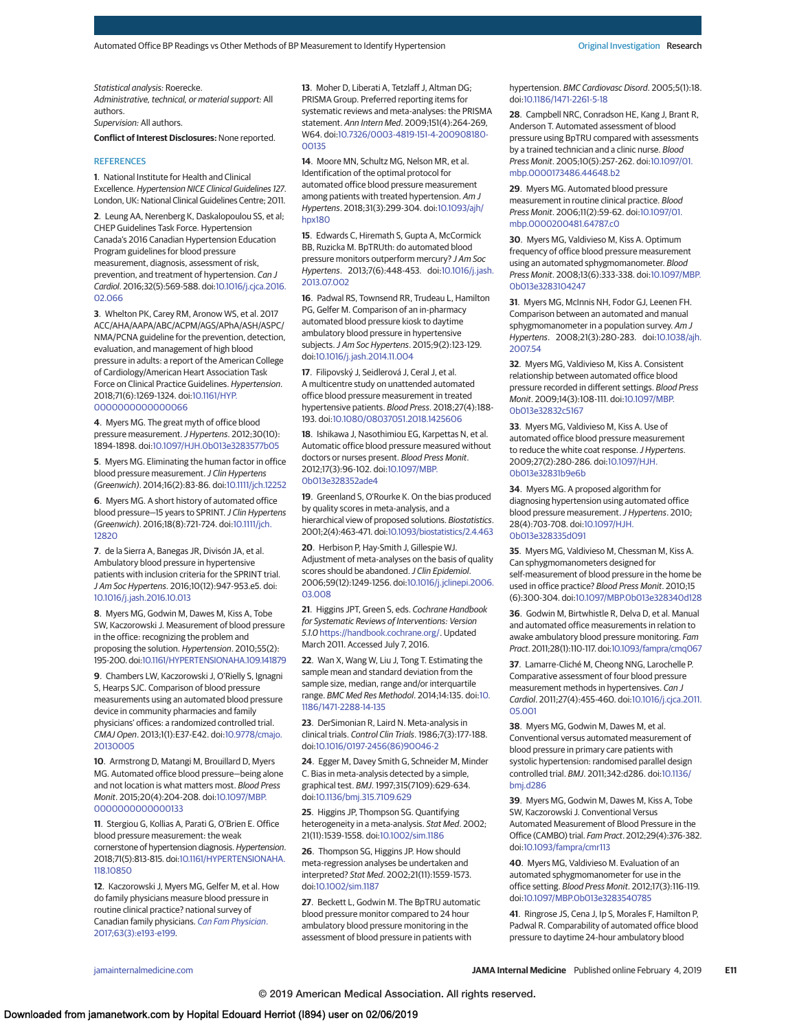Statistical analysis: Roerecke. Administrative, technical, or material support: All authors.

Supervision: All authors.

**Conflict of Interest Disclosures:** None reported.

#### **REFERENCES**

**1**. National Institute for Health and Clinical Excellence. Hypertension NICE Clinical Guidelines 127. London, UK: National Clinical Guidelines Centre; 2011.

**2**. Leung AA, Nerenberg K, Daskalopoulou SS, et al; CHEP Guidelines Task Force. Hypertension Canada's 2016 Canadian Hypertension Education Program guidelines for blood pressure measurement, diagnosis, assessment of risk, prevention, and treatment of hypertension. Can J Cardiol. 2016;32(5):569-588. doi[:10.1016/j.cjca.2016.](https://dx.doi.org/10.1016/j.cjca.2016.02.066) [02.066](https://dx.doi.org/10.1016/j.cjca.2016.02.066)

**3**. Whelton PK, Carey RM, Aronow WS, et al. 2017 ACC/AHA/AAPA/ABC/ACPM/AGS/APhA/ASH/ASPC/ NMA/PCNA guideline for the prevention, detection, evaluation, and management of high blood pressure in adults: a report of the American College of Cardiology/American Heart Association Task Force on Clinical Practice Guidelines. Hypertension. 2018;71(6):1269-1324. doi[:10.1161/HYP.](https://dx.doi.org/10.1161/HYP.0000000000000066) [0000000000000066](https://dx.doi.org/10.1161/HYP.0000000000000066)

**4**. Myers MG. The great myth of office blood pressure measurement.J Hypertens. 2012;30(10): 1894-1898. doi[:10.1097/HJH.0b013e3283577b05](https://dx.doi.org/10.1097/HJH.0b013e3283577b05)

**5**. Myers MG. Eliminating the human factor in office blood pressure measurement. J Clin Hypertens (Greenwich). 2014;16(2):83-86. doi[:10.1111/jch.12252](https://dx.doi.org/10.1111/jch.12252)

**6**. Myers MG. A short history of automated office blood pressure-15 years to SPRINT. J Clin Hypertens (Greenwich). 2016;18(8):721-724. doi[:10.1111/jch.](https://dx.doi.org/10.1111/jch.12820) [12820](https://dx.doi.org/10.1111/jch.12820)

**7**. de la Sierra A, Banegas JR, Divisón JA, et al. Ambulatory blood pressure in hypertensive patients with inclusion criteria for the SPRINT trial. J Am Soc Hypertens. 2016;10(12):947-953.e5. doi: [10.1016/j.jash.2016.10.013](https://dx.doi.org/10.1016/j.jash.2016.10.013)

**8**. Myers MG, Godwin M, Dawes M, Kiss A, Tobe SW, Kaczorowski J. Measurement of blood pressure in the office: recognizing the problem and proposing the solution. Hypertension. 2010;55(2): 195-200. doi[:10.1161/HYPERTENSIONAHA.109.141879](https://dx.doi.org/10.1161/HYPERTENSIONAHA.109.141879)

**9**. Chambers LW, Kaczorowski J, O'Rielly S, Ignagni S, Hearps SJC. Comparison of blood pressure measurements using an automated blood pressure device in community pharmacies and family physicians' offices: a randomized controlled trial. CMAJ Open. 2013;1(1):E37-E42. doi[:10.9778/cmajo.](https://dx.doi.org/10.9778/cmajo.20130005) [20130005](https://dx.doi.org/10.9778/cmajo.20130005)

**10**. Armstrong D, Matangi M, Brouillard D, Myers MG. Automated office blood pressure—being alone and not location is what matters most. Blood Press Monit. 2015;20(4):204-208. doi[:10.1097/MBP.](https://dx.doi.org/10.1097/MBP.0000000000000133) [0000000000000133](https://dx.doi.org/10.1097/MBP.0000000000000133)

**11**. Stergiou G, Kollias A, Parati G, O'Brien E. Office blood pressure measurement: the weak cornerstone of hypertension diagnosis. Hypertension. 2018;71(5):813-815. doi[:10.1161/HYPERTENSIONAHA.](https://dx.doi.org/10.1161/HYPERTENSIONAHA.118.10850) [118.10850](https://dx.doi.org/10.1161/HYPERTENSIONAHA.118.10850)

**12**. Kaczorowski J, Myers MG, Gelfer M, et al. How do family physicians measure blood pressure in routine clinical practice? national survey of Canadian family physicians. [Can Fam Physician](https://www.ncbi.nlm.nih.gov/pubmed/28292817). [2017;63\(3\):e193-e199.](https://www.ncbi.nlm.nih.gov/pubmed/28292817)

**13**. Moher D, Liberati A, Tetzlaff J, Altman DG; PRISMA Group. Preferred reporting items for systematic reviews and meta-analyses: the PRISMA statement. Ann Intern Med. 2009;151(4):264-269, W64. doi[:10.7326/0003-4819-151-4-200908180-](https://dx.doi.org/10.7326/0003-4819-151-4-200908180-00135) [00135](https://dx.doi.org/10.7326/0003-4819-151-4-200908180-00135)

**14**. Moore MN, Schultz MG, Nelson MR, et al. Identification of the optimal protocol for automated office blood pressure measurement among patients with treated hypertension. Am J Hypertens. 2018;31(3):299-304. doi[:10.1093/ajh/](https://dx.doi.org/10.1093/ajh/hpx180) [hpx180](https://dx.doi.org/10.1093/ajh/hpx180)

**15**. Edwards C, Hiremath S, Gupta A, McCormick BB, Ruzicka M. BpTRUth: do automated blood pressure monitors outperform mercury? J Am Soc Hypertens. 2013;7(6):448-453. doi[:10.1016/j.jash.](https://dx.doi.org/10.1016/j.jash.2013.07.002) [2013.07.002](https://dx.doi.org/10.1016/j.jash.2013.07.002)

**16**. Padwal RS, Townsend RR, Trudeau L, Hamilton PG, Gelfer M. Comparison of an in-pharmacy automated blood pressure kiosk to daytime ambulatory blood pressure in hypertensive subjects.J Am Soc Hypertens. 2015;9(2):123-129. doi[:10.1016/j.jash.2014.11.004](https://dx.doi.org/10.1016/j.jash.2014.11.004)

**17**. Filipovský J, Seidlerová J, Ceral J, et al. A multicentre study on unattended automated office blood pressure measurement in treated hypertensive patients. Blood Press. 2018;27(4):188- 193. doi[:10.1080/08037051.2018.1425606](https://dx.doi.org/10.1080/08037051.2018.1425606)

**18**. Ishikawa J, Nasothimiou EG, Karpettas N, et al. Automatic office blood pressure measured without doctors or nurses present. Blood Press Monit. 2012;17(3):96-102. doi[:10.1097/MBP.](https://dx.doi.org/10.1097/MBP.0b013e328352ade4) [0b013e328352ade4](https://dx.doi.org/10.1097/MBP.0b013e328352ade4)

**19**. Greenland S, O'Rourke K. On the bias produced by quality scores in meta-analysis, and a hierarchical view of proposed solutions. Biostatistics. 2001;2(4):463-471. doi[:10.1093/biostatistics/2.4.463](https://dx.doi.org/10.1093/biostatistics/2.4.463)

**20**. Herbison P, Hay-Smith J, Gillespie WJ. Adjustment of meta-analyses on the basis of quality scores should be abandoned. J Clin Epidemiol. 2006;59(12):1249-1256. doi[:10.1016/j.jclinepi.2006.](https://dx.doi.org/10.1016/j.jclinepi.2006.03.008) [03.008](https://dx.doi.org/10.1016/j.jclinepi.2006.03.008)

**21**. Higgins JPT, Green S, eds. Cochrane Handbook for Systematic Reviews of Interventions: Version 5.1.0 [https://handbook.cochrane.org/.](https://handbook.cochrane.org/) Updated March 2011. Accessed July 7, 2016.

**22**. Wan X, Wang W, Liu J, Tong T. Estimating the sample mean and standard deviation from the sample size, median, range and/or interquartile range. BMC Med Res Methodol. 2014;14:135. doi[:10.](https://dx.doi.org/10.1186/1471-2288-14-135) [1186/1471-2288-14-135](https://dx.doi.org/10.1186/1471-2288-14-135)

**23**. DerSimonian R, Laird N. Meta-analysis in clinical trials. Control Clin Trials. 1986;7(3):177-188. doi[:10.1016/0197-2456\(86\)90046-2](https://dx.doi.org/10.1016/0197-2456(86)90046-2)

**24**. Egger M, Davey Smith G, Schneider M, Minder C. Bias in meta-analysis detected by a simple, graphical test. BMJ. 1997;315(7109):629-634. doi[:10.1136/bmj.315.7109.629](https://dx.doi.org/10.1136/bmj.315.7109.629)

**25**. Higgins JP, Thompson SG. Quantifying heterogeneity in a meta-analysis. Stat Med. 2002; 21(11):1539-1558. doi[:10.1002/sim.1186](https://dx.doi.org/10.1002/sim.1186)

**26**. Thompson SG, Higgins JP. How should meta-regression analyses be undertaken and interpreted? Stat Med. 2002;21(11):1559-1573. doi[:10.1002/sim.1187](https://dx.doi.org/10.1002/sim.1187)

**27**. Beckett L, Godwin M. The BpTRU automatic blood pressure monitor compared to 24 hour ambulatory blood pressure monitoring in the assessment of blood pressure in patients with

hypertension. BMC Cardiovasc Disord. 2005;5(1):18. doi[:10.1186/1471-2261-5-18](https://dx.doi.org/10.1186/1471-2261-5-18)

**28**. Campbell NRC, Conradson HE, Kang J, Brant R, Anderson T. Automated assessment of blood pressure using BpTRU compared with assessments by a trained technician and a clinic nurse. Blood Press Monit. 2005;10(5):257-262. doi[:10.1097/01.](https://dx.doi.org/10.1097/01.mbp.0000173486.44648.b2) [mbp.0000173486.44648.b2](https://dx.doi.org/10.1097/01.mbp.0000173486.44648.b2)

**29**. Myers MG. Automated blood pressure measurement in routine clinical practice. Blood Press Monit. 2006;11(2):59-62. doi[:10.1097/01.](https://dx.doi.org/10.1097/01.mbp.0000200481.64787.c0) [mbp.0000200481.64787.c0](https://dx.doi.org/10.1097/01.mbp.0000200481.64787.c0)

**30**. Myers MG, Valdivieso M, Kiss A. Optimum frequency of office blood pressure measurement using an automated sphygmomanometer. Blood Press Monit. 2008;13(6):333-338. doi[:10.1097/MBP.](https://dx.doi.org/10.1097/MBP.0b013e3283104247) [0b013e3283104247](https://dx.doi.org/10.1097/MBP.0b013e3283104247)

**31**. Myers MG, McInnis NH, Fodor GJ, Leenen FH. Comparison between an automated and manual sphygmomanometer in a population survey. Am J Hypertens. 2008;21(3):280-283. doi[:10.1038/ajh.](https://dx.doi.org/10.1038/ajh.2007.54) [2007.54](https://dx.doi.org/10.1038/ajh.2007.54)

**32**. Myers MG, Valdivieso M, Kiss A. Consistent relationship between automated office blood pressure recorded in different settings. Blood Press Monit. 2009;14(3):108-111. doi[:10.1097/MBP.](https://dx.doi.org/10.1097/MBP.0b013e32832c5167) [0b013e32832c5167](https://dx.doi.org/10.1097/MBP.0b013e32832c5167)

**33**. Myers MG, Valdivieso M, Kiss A. Use of automated office blood pressure measurement to reduce the white coat response. J Hypertens. 2009;27(2):280-286. doi[:10.1097/HJH.](https://dx.doi.org/10.1097/HJH.0b013e32831b9e6b) [0b013e32831b9e6b](https://dx.doi.org/10.1097/HJH.0b013e32831b9e6b)

**34**. Myers MG. A proposed algorithm for diagnosing hypertension using automated office blood pressure measurement. J Hypertens. 2010; 28(4):703-708. doi[:10.1097/HJH.](https://dx.doi.org/10.1097/HJH.0b013e328335d091) [0b013e328335d091](https://dx.doi.org/10.1097/HJH.0b013e328335d091)

**35**. Myers MG, Valdivieso M, Chessman M, Kiss A. Can sphygmomanometers designed for self-measurement of blood pressure in the home be used in office practice? Blood Press Monit. 2010;15 (6):300-304. doi[:10.1097/MBP.0b013e328340d128](https://dx.doi.org/10.1097/MBP.0b013e328340d128)

**36**. Godwin M, Birtwhistle R, Delva D, et al. Manual and automated office measurements in relation to awake ambulatory blood pressure monitoring. Fam Pract. 2011;28(1):110-117. doi[:10.1093/fampra/cmq067](https://dx.doi.org/10.1093/fampra/cmq067)

**37**. Lamarre-Cliché M, Cheong NNG, Larochelle P. Comparative assessment of four blood pressure measurement methods in hypertensives. Can J Cardiol. 2011;27(4):455-460. doi[:10.1016/j.cjca.2011.](https://dx.doi.org/10.1016/j.cjca.2011.05.001) [05.001](https://dx.doi.org/10.1016/j.cjca.2011.05.001)

**38**. Myers MG, Godwin M, Dawes M, et al. Conventional versus automated measurement of blood pressure in primary care patients with systolic hypertension: randomised parallel design controlled trial. BMJ. 2011;342:d286. doi[:10.1136/](https://dx.doi.org/10.1136/bmj.d286) [bmj.d286](https://dx.doi.org/10.1136/bmj.d286)

**39**. Myers MG, Godwin M, Dawes M, Kiss A, Tobe SW, Kaczorowski J. Conventional Versus Automated Measurement of Blood Pressure in the Office (CAMBO) trial. Fam Pract. 2012;29(4):376-382. doi[:10.1093/fampra/cmr113](https://dx.doi.org/10.1093/fampra/cmr113)

**40**. Myers MG, Valdivieso M. Evaluation of an automated sphygmomanometer for use in the office setting. Blood Press Monit. 2012;17(3):116-119. doi[:10.1097/MBP.0b013e3283540785](https://dx.doi.org/10.1097/MBP.0b013e3283540785)

**41**. Ringrose JS, Cena J, Ip S, Morales F, Hamilton P, Padwal R. Comparability of automated office blood pressure to daytime 24-hour ambulatory blood